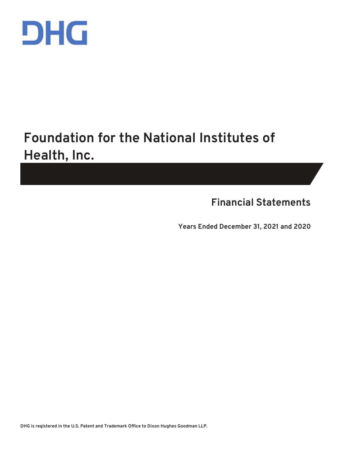

# **Foundation for the National Institutes of Health, Inc.**

**Financial Statements** 

**Years Ended December 31, 2021 and 2020** 

**DHG is registered in the U.S. Patent and Trademark Office to Dixon Hughes Goodman LLP.**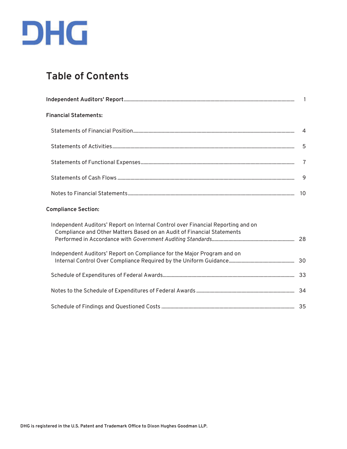

## **Table of Contents**

| <b>Financial Statements:</b>                                                                                                                               |   |
|------------------------------------------------------------------------------------------------------------------------------------------------------------|---|
|                                                                                                                                                            |   |
|                                                                                                                                                            | 5 |
|                                                                                                                                                            |   |
|                                                                                                                                                            | 9 |
|                                                                                                                                                            |   |
| <b>Compliance Section:</b>                                                                                                                                 |   |
| Independent Auditors' Report on Internal Control over Financial Reporting and on<br>Compliance and Other Matters Based on an Audit of Financial Statements |   |
| Independent Auditors' Report on Compliance for the Major Program and on                                                                                    |   |
|                                                                                                                                                            |   |
|                                                                                                                                                            |   |
|                                                                                                                                                            |   |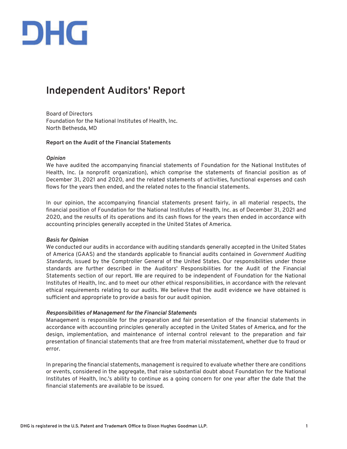

### **Independent Auditors' Report**

Board of Directors Foundation for the National Institutes of Health, Inc. North Bethesda, MD

#### **Report on the Audit of the Financial Statements**

#### *Opinion*

We have audited the accompanying financial statements of Foundation for the National Institutes of Health, Inc. (a nonprofit organization), which comprise the statements of financial position as of December 31, 2021 and 2020, and the related statements of activities, functional expenses and cash flows for the years then ended, and the related notes to the financial statements.

In our opinion, the accompanying financial statements present fairly, in all material respects, the financial position of Foundation for the National Institutes of Health, Inc. as of December 31, 2021 and 2020, and the results of its operations and its cash flows for the years then ended in accordance with accounting principles generally accepted in the United States of America.

#### *Basis for Opinion*

We conducted our audits in accordance with auditing standards generally accepted in the United States of America (GAAS) and the standards applicable to financial audits contained in *Government Auditing Standards*, issued by the Comptroller General of the United States. Our responsibilities under those standards are further described in the Auditors' Responsibilities for the Audit of the Financial Statements section of our report. We are required to be independent of Foundation for the National Institutes of Health, Inc. and to meet our other ethical responsibilities, in accordance with the relevant ethical requirements relating to our audits. We believe that the audit evidence we have obtained is sufficient and appropriate to provide a basis for our audit opinion.

#### *Responsibilities of Management for the Financial Statements*

Management is responsible for the preparation and fair presentation of the financial statements in accordance with accounting principles generally accepted in the United States of America, and for the design, implementation, and maintenance of internal control relevant to the preparation and fair presentation of financial statements that are free from material misstatement, whether due to fraud or error.

In preparing the financial statements, management is required to evaluate whether there are conditions or events, considered in the aggregate, that raise substantial doubt about Foundation for the National Institutes of Health, Inc.'s ability to continue as a going concern for one year after the date that the financial statements are available to be issued.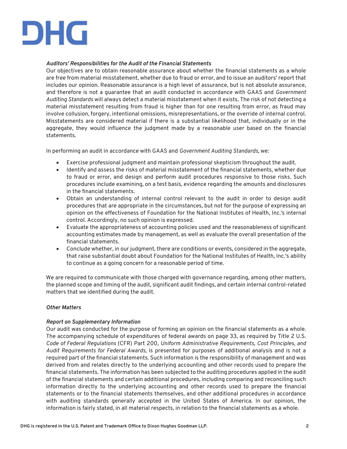

#### *Auditors' Responsibilities for the Audit of the Financial Statements*

Our objectives are to obtain reasonable assurance about whether the financial statements as a whole are free from material misstatement, whether due to fraud or error, and to issue an auditors' report that includes our opinion. Reasonable assurance is a high level of assurance, but is not absolute assurance, and therefore is not a guarantee that an audit conducted in accordance with GAAS and *Government Auditing Standards* will always detect a material misstatement when it exists. The risk of not detecting a material misstatement resulting from fraud is higher than for one resulting from error, as fraud may involve collusion, forgery, intentional omissions, misrepresentations, or the override of internal control. Misstatements are considered material if there is a substantial likelihood that, individually or in the aggregate, they would influence the judgment made by a reasonable user based on the financial statements.

In performing an audit in accordance with GAAS and *Government Auditing Standards*, we:

- x Exercise professional judgment and maintain professional skepticism throughout the audit.
- x Identify and assess the risks of material misstatement of the financial statements, whether due to fraud or error, and design and perform audit procedures responsive to those risks. Such procedures include examining, on a test basis, evidence regarding the amounts and disclosures in the financial statements.
- Obtain an understanding of internal control relevant to the audit in order to design audit procedures that are appropriate in the circumstances, but not for the purpose of expressing an opinion on the effectiveness of Foundation for the National Institutes of Health, Inc.'s internal control. Accordingly, no such opinion is expressed.
- Evaluate the appropriateness of accounting policies used and the reasonableness of significant accounting estimates made by management, as well as evaluate the overall presentation of the financial statements.
- Conclude whether, in our judgment, there are conditions or events, considered in the aggregate, that raise substantial doubt about Foundation for the National Institutes of Health, Inc.'s ability to continue as a going concern for a reasonable period of time.

We are required to communicate with those charged with governance regarding, among other matters, the planned scope and timing of the audit, significant audit findings, and certain internal control-related matters that we identified during the audit.

#### *Other Matters*

#### *Report on Supplementary Information*

Our audit was conducted for the purpose of forming an opinion on the financial statements as a whole. The accompanying schedule of expenditures of federal awards on page 33, as required by Title 2 U.S. *Code of Federal Regulations* (CFR) Part 200, *Uniform Administrative Requirements, Cost Principles, and Audit Requirements for Federal Awards,* is presented for purposes of additional analysis and is not a required part of the financial statements. Such information is the responsibility of management and was derived from and relates directly to the underlying accounting and other records used to prepare the financial statements. The information has been subjected to the auditing procedures applied in the audit of the financial statements and certain additional procedures, including comparing and reconciling such information directly to the underlying accounting and other records used to prepare the financial statements or to the financial statements themselves, and other additional procedures in accordance with auditing standards generally accepted in the United States of America. In our opinion, the information is fairly stated, in all material respects, in relation to the financial statements as a whole.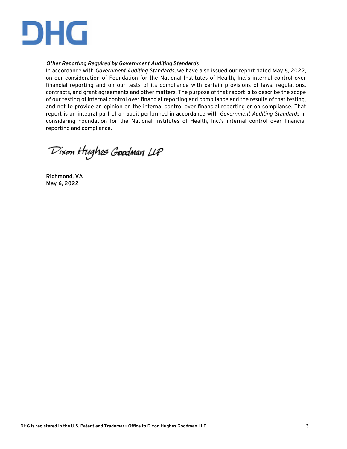

#### *Other Reporting Required by Government Auditing Standards*

In accordance with *Government Auditing Standards*, we have also issued our report dated May 6, 2022, on our consideration of Foundation for the National Institutes of Health, Inc.'s internal control over financial reporting and on our tests of its compliance with certain provisions of laws, regulations, contracts, and grant agreements and other matters. The purpose of that report is to describe the scope of our testing of internal control over financial reporting and compliance and the results of that testing, and not to provide an opinion on the internal control over financial reporting or on compliance. That report is an integral part of an audit performed in accordance with *Government Auditing Standards* in considering Foundation for the National Institutes of Health, Inc.'s internal control over financial reporting and compliance.

Dixon Hughes Goodman LLP

**Richmond, VA May 6, 2022**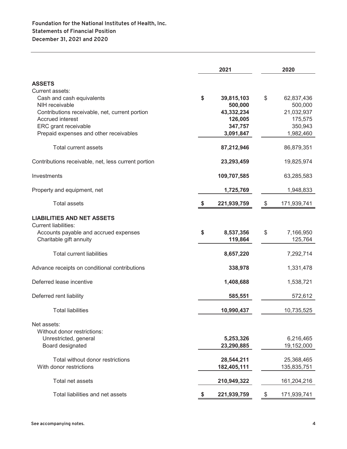|                                                     | 2021             | 2020              |
|-----------------------------------------------------|------------------|-------------------|
| <b>ASSETS</b>                                       |                  |                   |
| Current assets:                                     |                  |                   |
| Cash and cash equivalents                           | \$<br>39,815,103 | \$<br>62,837,436  |
| NIH receivable                                      | 500,000          | 500,000           |
| Contributions receivable, net, current portion      | 43,332,234       | 21,032,937        |
| Accrued interest                                    | 126,005          | 175,575           |
| ERC grant receivable                                | 347,757          | 350,943           |
|                                                     | 3,091,847        | 1,982,460         |
| Prepaid expenses and other receivables              |                  |                   |
| Total current assets                                | 87,212,946       | 86,879,351        |
| Contributions receivable, net, less current portion | 23,293,459       | 19,825,974        |
| Investments                                         | 109,707,585      | 63,285,583        |
| Property and equipment, net                         | 1,725,769        | 1,948,833         |
| <b>Total assets</b>                                 | 221,939,759      | \$<br>171,939,741 |
| <b>LIABILITIES AND NET ASSETS</b>                   |                  |                   |
| <b>Current liabilities:</b>                         |                  |                   |
| Accounts payable and accrued expenses               | \$<br>8,537,356  | \$<br>7,166,950   |
| Charitable gift annuity                             | 119,864          | 125,764           |
| <b>Total current liabilities</b>                    | 8,657,220        | 7,292,714         |
| Advance receipts on conditional contributions       | 338,978          | 1,331,478         |
| Deferred lease incentive                            | 1,408,688        | 1,538,721         |
| Deferred rent liability                             | 585,551          | 572,612           |
| <b>Total liabilities</b>                            | 10,990,437       | 10,735,525        |
| Net assets:                                         |                  |                   |
| Without donor restrictions:                         |                  |                   |
|                                                     |                  |                   |
| Unrestricted, general                               | 5,253,326        | 6,216,465         |
| Board designated                                    | 23,290,885       | 19,152,000        |
| Total without donor restrictions                    | 28,544,211       | 25,368,465        |
| With donor restrictions                             | 182,405,111      | 135,835,751       |
| Total net assets                                    | 210,949,322      | 161,204,216       |
|                                                     |                  |                   |
| Total liabilities and net assets                    | 221,939,759      | 171,939,741<br>\$ |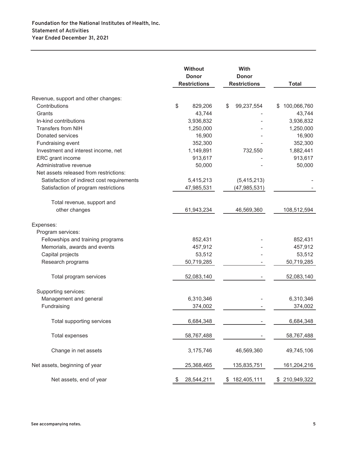|                                            | <b>Without</b><br><b>Donor</b> | With<br><b>Donor</b> |                   |
|--------------------------------------------|--------------------------------|----------------------|-------------------|
|                                            | <b>Restrictions</b>            | <b>Restrictions</b>  | <b>Total</b>      |
| Revenue, support and other changes:        |                                |                      |                   |
| Contributions                              | \$<br>829,206                  | 99,237,554<br>\$     | 100,066,760<br>\$ |
| Grants                                     | 43,744                         |                      | 43,744            |
| In-kind contributions                      | 3,936,832                      |                      | 3,936,832         |
| <b>Transfers from NIH</b>                  | 1,250,000                      |                      | 1,250,000         |
| Donated services                           | 16,900                         |                      | 16,900            |
| Fundraising event                          | 352,300                        |                      | 352,300           |
| Investment and interest income, net        | 1,149,891                      | 732,550              | 1,882,441         |
| ERC grant income                           | 913,617                        |                      | 913,617           |
| Administrative revenue                     | 50,000                         |                      | 50,000            |
| Net assets released from restrictions:     |                                |                      |                   |
| Satisfaction of indirect cost requirements | 5,415,213                      | (5,415,213)          |                   |
| Satisfaction of program restrictions       | 47,985,531                     | (47, 985, 531)       |                   |
|                                            |                                |                      |                   |
| Total revenue, support and                 |                                |                      |                   |
| other changes                              | 61,943,234                     | 46,569,360           | 108,512,594       |
| Expenses:                                  |                                |                      |                   |
| Program services:                          |                                |                      |                   |
| Fellowships and training programs          | 852,431                        |                      | 852,431           |
| Memorials, awards and events               | 457,912                        |                      | 457,912           |
| Capital projects                           | 53,512                         |                      | 53,512            |
| Research programs                          | 50,719,285                     |                      | 50,719,285        |
| Total program services                     | 52,083,140                     |                      | 52,083,140        |
| Supporting services:                       |                                |                      |                   |
| Management and general                     | 6,310,346                      |                      | 6,310,346         |
| Fundraising                                | 374,002                        |                      | 374,002           |
| Total supporting services                  | 6,684,348                      |                      | 6,684,348         |
| <b>Total expenses</b>                      | 58,767,488                     |                      | 58,767,488        |
| Change in net assets                       | 3,175,746                      | 46,569,360           | 49,745,106        |
| Net assets, beginning of year              | 25,368,465                     | 135,835,751          | 161,204,216       |
| Net assets, end of year                    | 28,544,211                     | 182,405,111<br>\$    | \$210,949,322     |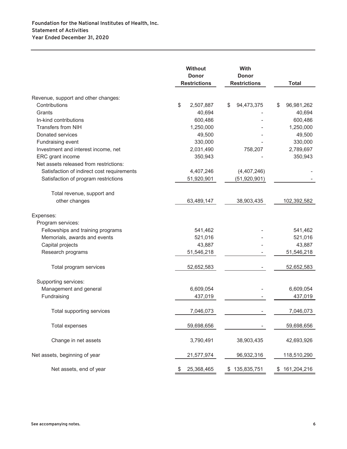|                                            | <b>Without</b><br><b>Donor</b><br><b>Restrictions</b> | With<br><b>Donor</b><br><b>Restrictions</b> | <b>Total</b>     |
|--------------------------------------------|-------------------------------------------------------|---------------------------------------------|------------------|
| Revenue, support and other changes:        |                                                       |                                             |                  |
| Contributions                              | \$<br>2,507,887                                       | 94,473,375<br>\$                            | \$<br>96,981,262 |
| Grants                                     | 40,694                                                |                                             | 40,694           |
| In-kind contributions                      | 600,486                                               |                                             | 600,486          |
| <b>Transfers from NIH</b>                  | 1,250,000                                             |                                             | 1,250,000        |
| Donated services                           | 49,500                                                |                                             | 49,500           |
| Fundraising event                          | 330,000                                               |                                             | 330,000          |
| Investment and interest income, net        | 2,031,490                                             | 758,207                                     | 2,789,697        |
| ERC grant income                           | 350,943                                               |                                             | 350,943          |
| Net assets released from restrictions:     |                                                       |                                             |                  |
| Satisfaction of indirect cost requirements | 4,407,246                                             | (4,407,246)                                 |                  |
| Satisfaction of program restrictions       | 51,920,901                                            | (51, 920, 901)                              |                  |
| Total revenue, support and                 |                                                       |                                             |                  |
| other changes                              | 63,489,147                                            | 38,903,435                                  | 102,392,582      |
| Expenses:                                  |                                                       |                                             |                  |
| Program services:                          |                                                       |                                             |                  |
| Fellowships and training programs          | 541,462                                               |                                             | 541,462          |
| Memorials, awards and events               | 521,016                                               |                                             | 521,016          |
| Capital projects                           | 43,887                                                |                                             | 43,887           |
| Research programs                          | 51,546,218                                            |                                             | 51,546,218       |
| Total program services                     | 52,652,583                                            |                                             | 52,652,583       |
| Supporting services:                       |                                                       |                                             |                  |
| Management and general                     | 6,609,054                                             |                                             | 6,609,054        |
| Fundraising                                | 437,019                                               |                                             | 437,019          |
| Total supporting services                  | 7,046,073                                             |                                             | 7,046,073        |
| <b>Total expenses</b>                      | 59,698,656                                            |                                             | 59,698,656       |
| Change in net assets                       | 3,790,491                                             | 38,903,435                                  | 42,693,926       |
| Net assets, beginning of year              | 21,577,974                                            | 96,932,316                                  | 118,510,290      |
| Net assets, end of year                    | 25,368,465                                            | 135,835,751<br>\$.                          | \$161,204,216    |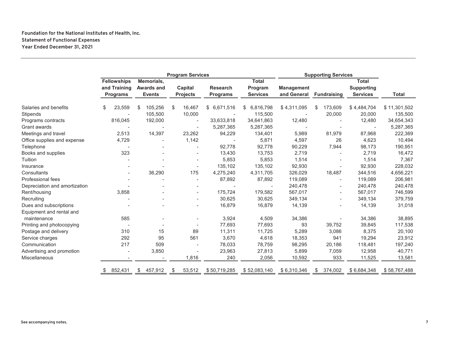#### **Foundation for the National Institutes of Health, Inc. Statement of Functional Expenses Year Ended December 31, 2021**

|                               | <b>Program Services</b>         |        |                             |    |                            |                                    | <b>Supporting Services</b> |                           |    |                          |                                      |              |
|-------------------------------|---------------------------------|--------|-----------------------------|----|----------------------------|------------------------------------|----------------------------|---------------------------|----|--------------------------|--------------------------------------|--------------|
|                               | <b>Fellowships</b>              |        | Memorials,                  |    |                            |                                    | <b>Total</b>               |                           |    |                          | <b>Total</b>                         |              |
|                               | and Training<br><b>Programs</b> |        | Awards and<br><b>Events</b> |    | Capital<br><b>Projects</b> | <b>Research</b><br><b>Programs</b> | Program<br><b>Services</b> | Management<br>and General |    | <b>Fundraising</b>       | <b>Supporting</b><br><b>Services</b> | <b>Total</b> |
|                               |                                 |        |                             |    |                            |                                    |                            |                           |    |                          |                                      |              |
| Salaries and benefits         | \$                              | 23,559 | 105,256<br>\$               | \$ | 16,467                     | \$6,671,516                        | 6,816,798<br>\$            | \$4,311,095               | \$ | 173,609                  | \$4,484,704                          | \$11,301,502 |
| Stipends                      |                                 |        | 105,500                     |    | 10,000                     |                                    | 115,500                    |                           |    | 20,000                   | 20,000                               | 135,500      |
| Programs contracts            | 816,045                         |        | 192,000                     |    | $\overline{\phantom{a}}$   | 33,633,818                         | 34,641,863                 | 12,480                    |    |                          | 12,480                               | 34,654,343   |
| Grant awards                  |                                 |        |                             |    |                            | 5,287,365                          | 5,287,365                  |                           |    |                          | $\overline{\phantom{a}}$             | 5,287,365    |
| Meetings and travel           |                                 | 2,513  | 14,397                      |    | 23,262                     | 94,229                             | 134,401                    | 5,989                     |    | 81,979                   | 87,968                               | 222,369      |
| Office supplies and expense   |                                 | 4,729  |                             |    | 1,142                      |                                    | 5,871                      | 4,597                     |    | 26                       | 4,623                                | 10,494       |
| Telephone                     |                                 |        |                             |    |                            | 92,778                             | 92,778                     | 90,229                    |    | 7,944                    | 98,173                               | 190,951      |
| Books and supplies            |                                 | 323    |                             |    | $\overline{\phantom{a}}$   | 13,430                             | 13,753                     | 2,719                     |    | $\blacksquare$           | 2,719                                | 16,472       |
| Tuition                       |                                 |        |                             |    |                            | 5,853                              | 5,853                      | 1,514                     |    |                          | 1,514                                | 7,367        |
| Insurance                     |                                 |        |                             |    |                            | 135,102                            | 135,102                    | 92,930                    |    |                          | 92,930                               | 228,032      |
| Consultants                   |                                 |        | 36,290                      |    | 175                        | 4,275,240                          | 4,311,705                  | 326,029                   |    | 18,487                   | 344,516                              | 4,656,221    |
| <b>Professional fees</b>      |                                 |        |                             |    |                            | 87,892                             | 87,892                     | 119,089                   |    | $\overline{\phantom{a}}$ | 119,089                              | 206,981      |
| Depreciation and amortization |                                 |        |                             |    | $\overline{\phantom{0}}$   |                                    |                            | 240,478                   |    | -                        | 240,478                              | 240,478      |
| Rent/housing                  |                                 | 3,858  |                             |    | $\overline{\phantom{a}}$   | 175,724                            | 179,582                    | 567,017                   |    | $\overline{\phantom{0}}$ | 567,017                              | 746,599      |
| Recruiting                    |                                 |        |                             |    |                            | 30,625                             | 30,625                     | 349,134                   |    | $\overline{\phantom{0}}$ | 349,134                              | 379,759      |
| Dues and subscriptions        |                                 |        |                             |    | $\overline{\phantom{0}}$   | 16,879                             | 16,879                     | 14,139                    |    | $\blacksquare$           | 14,139                               | 31,018       |
| Equipment and rental and      |                                 |        |                             |    |                            |                                    |                            |                           |    |                          |                                      |              |
| maintenance                   |                                 | 585    |                             |    | $\overline{\phantom{a}}$   | 3,924                              | 4,509                      | 34,386                    |    |                          | 34,386                               | 38,895       |
| Printing and photocopying     |                                 |        |                             |    |                            | 77,693                             | 77,693                     | 93                        |    | 39,752                   | 39,845                               | 117,538      |
| Postage and delivery          |                                 | 310    | 15                          |    | 89                         | 11,311                             | 11,725                     | 5,289                     |    | 3,086                    | 8,375                                | 20,100       |
| Service charges               |                                 | 292    | 95                          |    | 561                        | 3,670                              | 4,618                      | 18,353                    |    | 941                      | 19,294                               | 23,912       |
| Communication                 |                                 | 217    | 509                         |    |                            | 78,033                             | 78,759                     | 98,295                    |    | 20,186                   | 118,481                              | 197,240      |
| Advertising and promotion     |                                 |        | 3,850                       |    |                            | 23,963                             | 27,813                     | 5,899                     |    | 7,059                    | 12,958                               | 40,771       |
| Miscellaneous                 |                                 |        |                             |    | 1,816                      | 240                                | 2,056                      | 10,592                    |    | 933                      | 11,525                               | 13,581       |
|                               | 852,431<br>\$                   |        | 457,912<br>\$               | \$ | 53,512                     | \$50,719,285                       | \$52,083,140               | \$6,310,346               | \$ | 374,002                  | \$6,684,348                          | \$58,767,488 |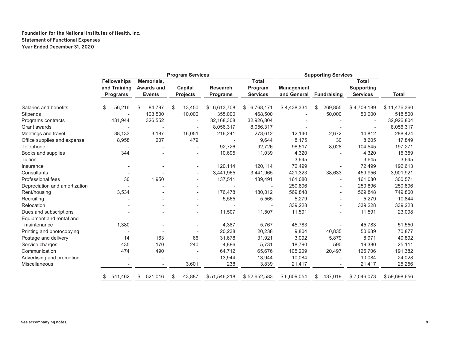#### **Foundation for the National Institutes of Health, Inc. Statement of Functional Expenses Year Ended December 31, 2020**

|                                                    | <b>Program Services</b>                               |                                           |                              | <b>Supporting Services</b>         |                                            |                                  |                    |                                                      |              |
|----------------------------------------------------|-------------------------------------------------------|-------------------------------------------|------------------------------|------------------------------------|--------------------------------------------|----------------------------------|--------------------|------------------------------------------------------|--------------|
|                                                    | <b>Fellowships</b><br>and Training<br><b>Programs</b> | Memorials,<br>Awards and<br><b>Events</b> | Capital<br><b>Projects</b>   | <b>Research</b><br><b>Programs</b> | <b>Total</b><br>Program<br><b>Services</b> | <b>Management</b><br>and General | <b>Fundraising</b> | <b>Total</b><br><b>Supporting</b><br><b>Services</b> | <b>Total</b> |
| Salaries and benefits                              | 56,216<br>\$                                          | \$<br>84,797                              | 13,450<br>- \$               | \$6,613,708                        | \$6,768,171                                | \$4,438,334                      | 269,855<br>\$      | \$4,708,189                                          | \$11,476,360 |
| Stipends                                           |                                                       | 103,500                                   | 10,000                       | 355,000                            | 468,500                                    |                                  | 50,000             | 50,000                                               | 518,500      |
| Programs contracts                                 | 431,944                                               | 326,552                                   | $\overline{a}$               | 32,168,308                         | 32,926,804                                 |                                  |                    |                                                      | 32,926,804   |
| Grant awards                                       |                                                       |                                           |                              | 8,056,317                          | 8,056,317                                  |                                  |                    |                                                      | 8,056,317    |
| Meetings and travel                                | 38,133                                                | 3,187                                     | 16,051                       | 216,241                            | 273,612                                    | 12,140                           | 2,672              | 14,812                                               | 288,424      |
| Office supplies and expense                        | 8,958                                                 | 207                                       | 479                          |                                    | 9,644                                      | 8,175                            | 30                 | 8,205                                                | 17,849       |
| Telephone                                          |                                                       |                                           |                              | 92,726                             | 92,726                                     | 96,517                           | 8,028              | 104,545                                              | 197,271      |
| Books and supplies                                 | 344                                                   |                                           |                              | 10,695                             | 11,039                                     | 4,320                            |                    | 4,320                                                | 15,359       |
| Tuition                                            |                                                       |                                           |                              |                                    |                                            | 3,645                            |                    | 3,645                                                | 3,645        |
| Insurance                                          |                                                       |                                           |                              | 120,114                            | 120,114                                    | 72,499                           |                    | 72,499                                               | 192,613      |
| Consultants                                        |                                                       |                                           |                              | 3,441,965                          | 3,441,965                                  | 421,323                          | 38,633             | 459,956                                              | 3,901,921    |
| <b>Professional fees</b>                           | 30                                                    | 1,950                                     |                              | 137,511                            | 139,491                                    | 161,080                          | $\blacksquare$     | 161,080                                              | 300,571      |
| Depreciation and amortization                      |                                                       |                                           |                              |                                    |                                            | 250,896                          |                    | 250,896                                              | 250,896      |
| Rent/housing                                       | 3,534                                                 |                                           |                              | 176,478                            | 180,012                                    | 569,848                          |                    | 569,848                                              | 749,860      |
| Recruiting                                         |                                                       |                                           | $\qquad \qquad \blacksquare$ | 5,565                              | 5,565                                      | 5,279                            |                    | 5,279                                                | 10,844       |
| Relocation                                         |                                                       |                                           |                              |                                    |                                            | 339,228                          |                    | 339,228                                              | 339,228      |
| Dues and subscriptions<br>Equipment and rental and |                                                       |                                           |                              | 11,507                             | 11,507                                     | 11,591                           |                    | 11,591                                               | 23,098       |
| maintenance                                        | 1,380                                                 |                                           |                              | 4,387                              | 5,767                                      | 45,783                           |                    | 45,783                                               | 51,550       |
| Printing and photocopying                          |                                                       |                                           |                              | 20,238                             | 20,238                                     | 9,804                            | 40,835             | 50,639                                               | 70,877       |
| Postage and delivery                               | 14                                                    | 163                                       | 66                           | 31,678                             | 31,921                                     | 3,092                            | 5,879              | 8,971                                                | 40,892       |
| Service charges                                    | 435                                                   | 170                                       | 240                          | 4,886                              | 5,731                                      | 18,790                           | 590                | 19,380                                               | 25,111       |
| Communication                                      | 474                                                   | 490                                       |                              | 64,712                             | 65,676                                     | 105,209                          | 20,497             | 125,706                                              | 191,382      |
| Advertising and promotion                          |                                                       |                                           |                              | 13,944                             | 13,944                                     | 10,084                           |                    | 10,084                                               | 24,028       |
| Miscellaneous                                      |                                                       |                                           | 3,601                        | 238                                | 3,839                                      | 21,417                           |                    | 21,417                                               | 25,256       |
|                                                    | 541,462                                               | 521,016<br>\$                             | 43,887<br>\$                 | \$51,546,218                       | \$52,652,583                               | \$6,609,054                      | 437,019<br>\$      | \$7,046,073                                          | \$59,698,656 |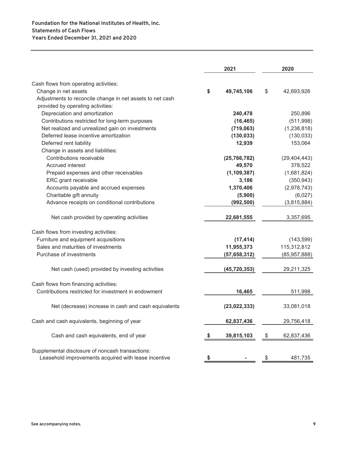|                                                                                                          | 2021 |                |    | 2020           |  |  |
|----------------------------------------------------------------------------------------------------------|------|----------------|----|----------------|--|--|
|                                                                                                          |      |                |    |                |  |  |
| Cash flows from operating activities:                                                                    |      |                |    |                |  |  |
| Change in net assets                                                                                     | \$   | 49,745,106     | \$ | 42,693,926     |  |  |
| Adjustments to reconcile change in net assets to net cash                                                |      |                |    |                |  |  |
| provided by operating activities:                                                                        |      |                |    |                |  |  |
| Depreciation and amortization                                                                            |      | 240,478        |    | 250,896        |  |  |
| Contributions restricted for long-term purposes                                                          |      | (16, 465)      |    | (511,998)      |  |  |
| Net realized and unrealized gain on investments                                                          |      | (719,063)      |    | (1, 238, 818)  |  |  |
| Deferred lease incentive amortization                                                                    |      | (130, 033)     |    | (130, 033)     |  |  |
| Deferred rent liability                                                                                  |      | 12,939         |    | 153,064        |  |  |
| Change in assets and liabilities:                                                                        |      |                |    |                |  |  |
| Contributions receivable                                                                                 |      | (25, 766, 782) |    | (29, 404, 443) |  |  |
| Accrued interest                                                                                         |      | 49,570         |    | 378,522        |  |  |
| Prepaid expenses and other receivables                                                                   |      | (1, 109, 387)  |    | (1,681,824)    |  |  |
| ERC grant receivable                                                                                     |      | 3,186          |    | (350, 943)     |  |  |
| Accounts payable and accrued expenses                                                                    |      | 1,370,406      |    | (2,978,743)    |  |  |
| Charitable gift annuity                                                                                  |      | (5,900)        |    | (6,027)        |  |  |
| Advance receipts on conditional contributions                                                            |      | (992, 500)     |    | (3,815,884)    |  |  |
| Net cash provided by operating activities                                                                |      | 22,681,555     |    | 3,357,695      |  |  |
| Cash flows from investing activities:                                                                    |      |                |    |                |  |  |
| Furniture and equipment acquisitions                                                                     |      | (17, 414)      |    | (143, 599)     |  |  |
| Sales and maturities of investments                                                                      |      | 11,955,373     |    | 115,312,812    |  |  |
| Purchase of investments                                                                                  |      | (57, 658, 312) |    | (85, 957, 888) |  |  |
| Net cash (used) provided by investing activities                                                         |      | (45, 720, 353) |    | 29,211,325     |  |  |
| Cash flows from financing activities:                                                                    |      |                |    |                |  |  |
| Contributions restricted for investment in endowment                                                     |      | 16,465         |    | 511,998        |  |  |
| Net (decrease) increase in cash and cash equivalents                                                     |      | (23, 022, 333) |    | 33,081,018     |  |  |
| Cash and cash equivalents, beginning of year                                                             |      | 62,837,436     |    | 29,756,418     |  |  |
| Cash and cash equivalents, end of year                                                                   |      | 39,815,103     | \$ | 62,837,436     |  |  |
| Supplemental disclosure of noncash transactions:<br>Leasehold improvements acquired with lease incentive | \$   |                | \$ | 481,735        |  |  |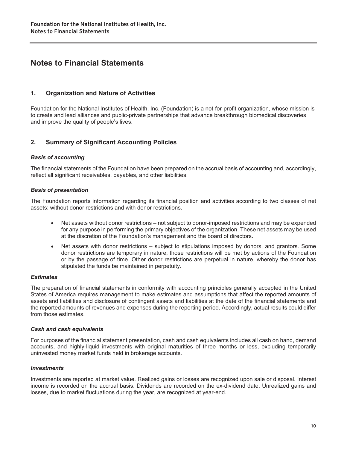### **Notes to Financial Statements**

#### **1. Organization and Nature of Activities**

Foundation for the National Institutes of Health, Inc. (Foundation) is a not-for-profit organization, whose mission is to create and lead alliances and public-private partnerships that advance breakthrough biomedical discoveries and improve the quality of people's lives.

#### **2. Summary of Significant Accounting Policies**

#### *Basis of accounting*

The financial statements of the Foundation have been prepared on the accrual basis of accounting and, accordingly, reflect all significant receivables, payables, and other liabilities.

#### *Basis of presentation*

The Foundation reports information regarding its financial position and activities according to two classes of net assets: without donor restrictions and with donor restrictions.

- Net assets without donor restrictions not subject to donor-imposed restrictions and may be expended for any purpose in performing the primary objectives of the organization. These net assets may be used at the discretion of the Foundation's management and the board of directors.
- Net assets with donor restrictions subject to stipulations imposed by donors, and grantors. Some donor restrictions are temporary in nature; those restrictions will be met by actions of the Foundation or by the passage of time. Other donor restrictions are perpetual in nature, whereby the donor has stipulated the funds be maintained in perpetuity.

#### *Estimates*

The preparation of financial statements in conformity with accounting principles generally accepted in the United States of America requires management to make estimates and assumptions that affect the reported amounts of assets and liabilities and disclosure of contingent assets and liabilities at the date of the financial statements and the reported amounts of revenues and expenses during the reporting period. Accordingly, actual results could differ from those estimates.

#### *Cash and cash equivalents*

For purposes of the financial statement presentation, cash and cash equivalents includes all cash on hand, demand accounts, and highly-liquid investments with original maturities of three months or less, excluding temporarily uninvested money market funds held in brokerage accounts.

#### *Investments*

Investments are reported at market value. Realized gains or losses are recognized upon sale or disposal. Interest income is recorded on the accrual basis. Dividends are recorded on the ex-dividend date. Unrealized gains and losses, due to market fluctuations during the year, are recognized at year-end.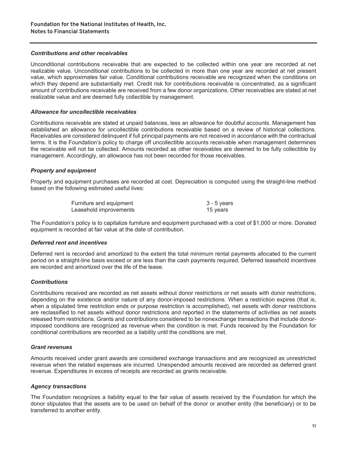#### *Contributions and other receivables*

Unconditional contributions receivable that are expected to be collected within one year are recorded at net realizable value. Unconditional contributions to be collected in more than one year are recorded at net present value, which approximates fair value. Conditional contributions receivable are recognized when the conditions on which they depend are substantially met. Credit risk for contributions receivable is concentrated, as a significant amount of contributions receivable are received from a few donor organizations. Other receivables are stated at net realizable value and are deemed fully collectible by management.

#### *Allowance for uncollectible receivables*

Contributions receivable are stated at unpaid balances, less an allowance for doubtful accounts. Management has established an allowance for uncollectible contributions receivable based on a review of historical collections. Receivables are considered delinquent if full principal payments are not received in accordance with the contractual terms. It is the Foundation's policy to charge off uncollectible accounts receivable when management determines the receivable will not be collected. Amounts recorded as other receivables are deemed to be fully collectible by management. Accordingly, an allowance has not been recorded for those receivables.

#### *Property and equipment*

Property and equipment purchases are recorded at cost. Depreciation is computed using the straight-line method based on the following estimated useful lives:

| Furniture and equipment | 3 - 5 years |
|-------------------------|-------------|
| Leasehold improvements  | 15 years    |

The Foundation's policy is to capitalize furniture and equipment purchased with a cost of \$1,000 or more. Donated equipment is recorded at fair value at the date of contribution.

#### *Deferred rent and incentives*

Deferred rent is recorded and amortized to the extent the total minimum rental payments allocated to the current period on a straight-line basis exceed or are less than the cash payments required. Deferred leasehold incentives are recorded and amortized over the life of the lease.

#### *Contributions*

Contributions received are recorded as net assets without donor restrictions or net assets with donor restrictions, depending on the existence and/or nature of any donor-imposed restrictions. When a restriction expires (that is, when a stipulated time restriction ends or purpose restriction is accomplished), net assets with donor restrictions are reclassified to net assets without donor restrictions and reported in the statements of activities as net assets released from restrictions. Grants and contributions considered to be nonexchange transactions that include donorimposed conditions are recognized as revenue when the condition is met. Funds received by the Foundation for conditional contributions are recorded as a liability until the conditions are met.

#### *Grant revenues*

Amounts received under grant awards are considered exchange transactions and are recognized as unrestricted revenue when the related expenses are incurred. Unexpended amounts received are recorded as deferred grant revenue. Expenditures in excess of receipts are recorded as grants receivable.

#### *Agency transactions*

The Foundation recognizes a liability equal to the fair value of assets received by the Foundation for which the donor stipulates that the assets are to be used on behalf of the donor or another entity (the beneficiary) or to be transferred to another entity.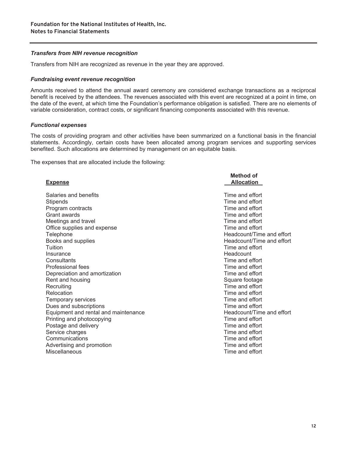#### *Transfers from NIH revenue recognition*

Transfers from NIH are recognized as revenue in the year they are approved.

#### *Fundraising event revenue recognition*

Amounts received to attend the annual award ceremony are considered exchange transactions as a reciprocal benefit is received by the attendees. The revenues associated with this event are recognized at a point in time, on the date of the event, at which time the Foundation's performance obligation is satisfied. There are no elements of variable consideration, contract costs, or significant financing components associated with this revenue.

#### *Functional expenses*

The costs of providing program and other activities have been summarized on a functional basis in the financial statements. Accordingly, certain costs have been allocated among program services and supporting services benefited. Such allocations are determined by management on an equitable basis.

The expenses that are allocated include the following:

| <b>Expense</b>                       | Method of<br><b>Allocation</b> |
|--------------------------------------|--------------------------------|
| Salaries and benefits                | Time and effort                |
| Stipends                             | Time and effort                |
| Program contracts                    | Time and effort                |
| Grant awards                         | Time and effort                |
| Meetings and travel                  | Time and effort                |
| Office supplies and expense          | Time and effort                |
| Telephone                            | Headcount/Time and effort      |
| Books and supplies                   | Headcount/Time and effort      |
| Tuition                              | Time and effort                |
| Insurance                            | Headcount                      |
| Consultants                          | Time and effort                |
| Professional fees                    | Time and effort                |
| Depreciation and amortization        | Time and effort                |
| Rent and housing                     | Square footage                 |
| Recruiting                           | Time and effort                |
| Relocation                           | Time and effort                |
| Temporary services                   | Time and effort                |
| Dues and subscriptions               | Time and effort                |
| Equipment and rental and maintenance | Headcount/Time and effort      |
| Printing and photocopying            | Time and effort                |
| Postage and delivery                 | Time and effort                |
| Service charges                      | Time and effort                |
| Communications                       | Time and effort                |
| Advertising and promotion            | Time and effort                |
| Miscellaneous                        | Time and effort                |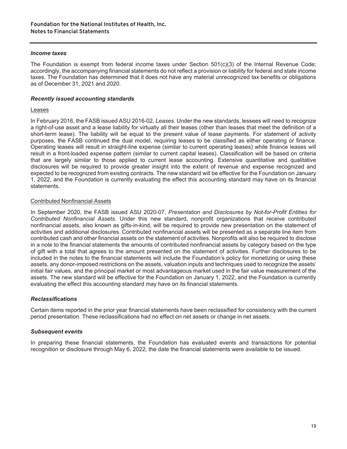#### *Income taxes*

The Foundation is exempt from federal income taxes under Section 501(c)(3) of the Internal Revenue Code; accordingly, the accompanying financial statements do not reflect a provision or liability for federal and state income taxes. The Foundation has determined that it does not have any material unrecognized tax benefits or obligations as of December 31, 2021 and 2020.

#### *Recently issued accounting standards*

#### Leases

In February 2016, the FASB issued ASU 2016-02, *Leases*. Under the new standards, lessees will need to recognize a right-of-use asset and a lease liability for virtually all their leases (other than leases that meet the definition of a short-term lease). The liability will be equal to the present value of lease payments. For statement of activity purposes, the FASB continued the dual model, requiring leases to be classified as either operating or finance. Operating leases will result in straight-line expense (similar to current operating leases) while finance leases will result in a front-loaded expense pattern (similar to current capital leases). Classification will be based on criteria that are largely similar to those applied to current lease accounting. Extensive quantitative and qualitative disclosures will be required to provide greater insight into the extent of revenue and expense recognized and expected to be recognized from existing contracts. The new standard will be effective for the Foundation on January 1, 2022, and the Foundation is currently evaluating the effect this accounting standard may have on its financial statements.

#### Contributed Nonfinancial Assets

In September 2020, the FASB issued ASU 2020-07, *Presentation and Disclosures by Not-for-Profit Entities for Contributed Nonfinancial Assets*. Under this new standard, nonprofit organizations that receive contributed nonfinancial assets, also known as gifts-in-kind, will be required to provide new presentation on the statement of activities and additional disclosures. Contributed nonfinancial assets will be presented as a separate line item from contributed cash and other financial assets on the statement of activities. Nonprofits will also be required to disclose in a note to the financial statements the amounts of contributed nonfinancial assets by category based on the type of gift with a total that agrees to the amount presented on the statement of activities. Further disclosures to be included in the notes to the financial statements will include the Foundation's policy for monetizing or using these assets, any donor-imposed restrictions on the assets, valuation inputs and techniques used to recognize the assets' initial fair values, and the principal market or most advantageous market used in the fair value measurement of the assets. The new standard will be effective for the Foundation on January 1, 2022, and the Foundation is currently evaluating the effect this accounting standard may have on its financial statements.

#### *Reclassifications*

Certain items reported in the prior year financial statements have been reclassified for consistency with the current period presentation. These reclassifications had no effect on net assets or change in net assets.

#### *Subsequent events*

In preparing these financial statements, the Foundation has evaluated events and transactions for potential recognition or disclosure through May 6, 2022, the date the financial statements were available to be issued.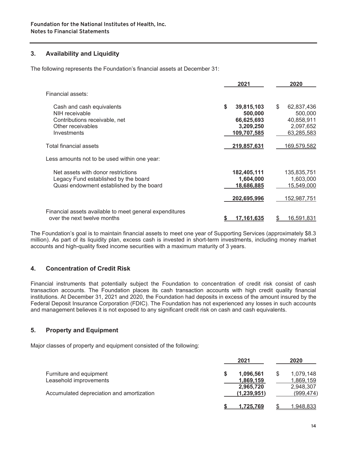#### **3. Availability and Liquidity**

The following represents the Foundation's financial assets at December 31:

|                                                         |    | 2021              | 2020                    |
|---------------------------------------------------------|----|-------------------|-------------------------|
| Financial assets:                                       |    |                   |                         |
| Cash and cash equivalents                               | \$ | 39,815,103        | \$<br>62,837,436        |
| NIH receivable                                          |    | 500,000           | 500,000                 |
| Contributions receivable, net                           |    | 66,625,693        | 40,858,911              |
| Other receivables                                       |    | 3,209,250         | 2,097,652               |
| Investments                                             |    | 109,707,585       | 63,285,583              |
| Total financial assets                                  |    | 219,857,631       | 169,579,582             |
| Less amounts not to be used within one year:            |    |                   |                         |
| Net assets with donor restrictions                      |    | 182,405,111       | 135,835,751             |
| Legacy Fund established by the board                    |    | 1,604,000         | 1,603,000               |
| Quasi endowment established by the board                |    | 18,686,885        | 15,549,000              |
|                                                         |    | 202,695,996       | 152,987,751             |
| Financial assets available to meet general expenditures |    |                   |                         |
| over the next twelve months                             | S  | <u>17.161.635</u> | \$<br><u>16,591,831</u> |

The Foundation's goal is to maintain financial assets to meet one year of Supporting Services (approximately \$8.3 million). As part of its liquidity plan, excess cash is invested in short-term investments, including money market accounts and high-quality fixed income securities with a maximum maturity of 3 years.

#### **4. Concentration of Credit Risk**

Financial instruments that potentially subject the Foundation to concentration of credit risk consist of cash transaction accounts. The Foundation places its cash transaction accounts with high credit quality financial institutions. At December 31, 2021 and 2020, the Foundation had deposits in excess of the amount insured by the Federal Deposit Insurance Corporation (FDIC). The Foundation has not experienced any losses in such accounts and management believes it is not exposed to any significant credit risk on cash and cash equivalents.

#### **5. Property and Equipment**

Major classes of property and equipment consisted of the following:

|                                           | 2021             | 2020       |
|-------------------------------------------|------------------|------------|
| Furniture and equipment                   | 1,096,561        | 1,079,148  |
| Leasehold improvements                    | 1,869,159        | 1,869,159  |
|                                           | 2,965,720        | 2,948,307  |
| Accumulated depreciation and amortization | (1, 239, 951)    | (999, 474) |
|                                           | <u>1.725.769</u> | 1,948,833  |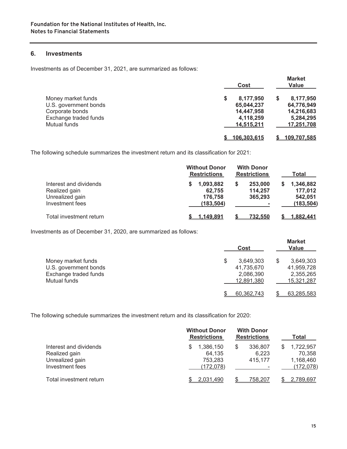#### **6. Investments**

Investments as of December 31, 2021, are summarized as follows:

|                       |   | Cost        | <b>Market</b><br>Value |
|-----------------------|---|-------------|------------------------|
| Money market funds    | S | 8,177,950   | \$<br>8,177,950        |
| U.S. government bonds |   | 65,044,237  | 64,776,949             |
| Corporate bonds       |   | 14,447,958  | 14,216,683             |
| Exchange traded funds |   | 4,118,259   | 5,284,295              |
| Mutual funds          |   | 14,515,211  | 17,251,708             |
|                       |   | 106.303.615 | <u>109.707.585</u>     |

The following schedule summarizes the investment return and its classification for 2021:

|                                                                               | <b>Without Donor</b><br><b>Restrictions</b>       | <b>With Donor</b><br><b>Restrictions</b>                  | Total                                              |
|-------------------------------------------------------------------------------|---------------------------------------------------|-----------------------------------------------------------|----------------------------------------------------|
| Interest and dividends<br>Realized gain<br>Unrealized gain<br>Investment fees | 1,093,882<br>S<br>62.755<br>176,758<br>(183, 504) | 253,000<br>114,257<br>365,293<br>$\overline{\phantom{a}}$ | 1,346,882<br>S<br>177,012<br>542,051<br>(183, 504) |
| Total investment return                                                       | 1.149.891                                         | <u>732.550</u>                                            | <u>1.882.441</u>                                   |

Investments as of December 31, 2020, are summarized as follows:

|                       |   | Cost       |   | <b>Market</b><br>Value |
|-----------------------|---|------------|---|------------------------|
| Money market funds    | S | 3,649,303  | S | 3,649,303              |
| U.S. government bonds |   | 41,735,670 |   | 41,959,728             |
| Exchange traded funds |   | 2,086,390  |   | 2,355,265              |
| Mutual funds          |   | 12,891,380 |   | 15,321,287             |
|                       |   | 60,362,743 |   | 63,285,583             |

The following schedule summarizes the investment return and its classification for 2020:

|                                                                               | <b>Without Donor</b><br><b>Restrictions</b>  | <b>With Donor</b><br><b>Restrictions</b> | Total                                          |
|-------------------------------------------------------------------------------|----------------------------------------------|------------------------------------------|------------------------------------------------|
| Interest and dividends<br>Realized gain<br>Unrealized gain<br>Investment fees | 1,386,150<br>64,135<br>753,283<br>(172, 078) | 336,807<br>S<br>6,223<br>415.177         | 1,722,957<br>70,358<br>1,168,460<br>(172, 078) |
| Total investment return                                                       | 2,031,490                                    | 758,207                                  | 2,789,697                                      |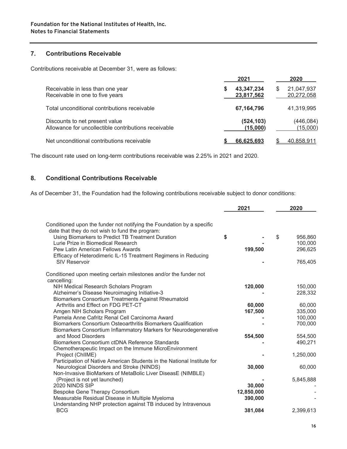#### **7. Contributions Receivable**

Contributions receivable at December 31, were as follows:

|                                                                                        | 2021                     | 2020                          |
|----------------------------------------------------------------------------------------|--------------------------|-------------------------------|
| Receivable in less than one year<br>Receivable in one to five years                    | 43,347,234<br>23,817,562 | 21,047,937<br>S<br>20,272,058 |
| Total unconditional contributions receivable                                           | 67,164,796               | 41,319,995                    |
| Discounts to net present value<br>Allowance for uncollectible contributions receivable | (524, 103)<br>(15,000)   | (446, 084)<br>(15,000)        |
| Net unconditional contributions receivable                                             | 66.625.693               | 40.858.911                    |

The discount rate used on long-term contributions receivable was 2.25% in 2021 and 2020.

#### **8. Conditional Contributions Receivable**

As of December 31, the Foundation had the following contributions receivable subject to donor conditions:

|                                                                         | 2021       | 2020          |
|-------------------------------------------------------------------------|------------|---------------|
| Conditioned upon the funder not notifying the Foundation by a specific  |            |               |
| date that they do not wish to fund the program:                         |            |               |
| Using Biomarkers to Predict TB Treatment Duration                       | \$         | \$<br>956,860 |
| Lurie Prize in Biomedical Research                                      |            | 100,000       |
| <b>Pew Latin American Fellows Awards</b>                                | 199,500    | 296,625       |
| Efficacy of Heterodimeric IL-15 Treatment Regimens in Reducing          |            |               |
| <b>SIV Reservoir</b>                                                    |            | 765,405       |
| Conditioned upon meeting certain milestones and/or the funder not       |            |               |
| cancelling:                                                             |            |               |
| NIH Medical Research Scholars Program                                   | 120,000    | 150,000       |
| Alzheimer's Disease Neuroimaging Initiative-3                           |            | 228,332       |
| Biomarkers Consortium Treatments Against Rheumatoid                     |            |               |
| Arthritis and Effect on FDG PET-CT                                      | 60,000     | 60,000        |
| Amgen NIH Scholars Program                                              | 167,500    | 335,000       |
| Pamela Anne Cafritz Renal Cell Carcinoma Award                          |            | 100,000       |
| Biomarkers Consortium Osteoarthritis Biomarkers Qualification           |            | 700,000       |
| Biomarkers Consortium Inflammatory Markers for Neurodegenerative        |            |               |
| and Mood Disorders                                                      | 554,500    | 554,500       |
| Biomarkers Consortium ctDNA Reference Standards                         |            | 490,271       |
| Chemotherapeutic Impact on the Immune MicroEnvironment                  |            |               |
| Project (ChIIME)                                                        |            | 1,250,000     |
| Participation of Native American Students in the National Institute for |            |               |
| Neurological Disorders and Stroke (NINDS)                               | 30,000     | 60,000        |
| Non-Invasive BioMarkers of MetaBolic Liver DiseasE (NIMBLE)             |            |               |
| (Project is not yet launched)                                           |            | 5,845,888     |
| 2020 NINDS SIP                                                          | 30,000     |               |
| Bespoke Gene Therapy Consortium                                         | 12,850,000 |               |
| Measurable Residual Disease in Multiple Myeloma                         | 390,000    |               |
| Understanding NHP protection against TB induced by Intravenous          |            |               |
| <b>BCG</b>                                                              | 381,084    | 2,399,613     |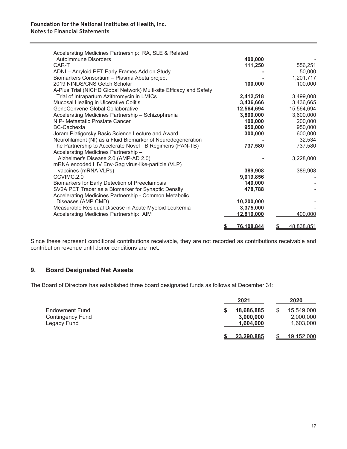| Accelerating Medicines Partnership: RA, SLE & Related              |            |                  |
|--------------------------------------------------------------------|------------|------------------|
| Autoimmune Disorders                                               | 400,000    |                  |
| CAR-T                                                              | 111,250    | 556,251          |
| ADNI - Amyloid PET Early Frames Add on Study                       |            | 50,000           |
| Biomarkers Consortium - Plasma Abeta project                       |            | 1,201,717        |
| 2019 NINDS/CNS Getch Scholar                                       | 100,000    | 100,000          |
| A-Plus Trial (NICHD Global Network) Multi-site Efficacy and Safety |            |                  |
| Trial of Intrapartum Azithromycin in LMICs                         | 2,412,518  | 3,499,008        |
| Mucosal Healing in Ulcerative Colitis                              | 3,436,666  | 3,436,665        |
| GeneConvene Global Collaborative                                   | 12,564,694 | 15,564,694       |
| Accelerating Medicines Partnership - Schizophrenia                 | 3,800,000  | 3,600,000        |
| NIP- Metastatic Prostate Cancer                                    | 100,000    | 200,000          |
| <b>BC-Cachexia</b>                                                 | 950,000    | 950,000          |
| Joram Piatigorsky Basic Science Lecture and Award                  | 300,000    | 600,000          |
| Neurofilament (Nf) as a Fluid Biomarker of Neurodegeneration       |            | 32,534           |
| The Partnership to Accelerate Novel TB Regimens (PAN-TB)           | 737,580    | 737,580          |
| Accelerating Medicines Partnership -                               |            |                  |
| Alzheimer's Disease 2.0 (AMP-AD 2.0)                               |            | 3,228,000        |
| mRNA encoded HIV Env-Gag virus-like-particle (VLP)                 |            |                  |
| vaccines (mRNA VLPs)                                               | 389,908    | 389,908          |
| CCVIMC.2.0                                                         | 9,019,856  |                  |
| Biomarkers for Early Detection of Preeclampsia                     | 140,000    |                  |
| SV2A PET Tracer as a Biomarker for Synaptic Density                | 478,788    |                  |
| Accelerating Medicines Partnership - Common Metabolic              |            |                  |
| Diseases (AMP CMD)                                                 | 10,200,000 |                  |
| Measurable Residual Disease in Acute Myeloid Leukemia              | 3,375,000  |                  |
| Accelerating Medicines Partnership: AIM                            | 12,810,000 | 400,000          |
|                                                                    |            |                  |
|                                                                    | 76,108,844 | 48,838,851<br>\$ |

Since these represent conditional contributions receivable, they are not recorded as contributions receivable and contribution revenue until donor conditions are met.

#### **9. Board Designated Net Assets**

The Board of Directors has established three board designated funds as follows at December 31:

|                                                          | 2021                                 | 2020                                       |
|----------------------------------------------------------|--------------------------------------|--------------------------------------------|
| Endowment Fund<br><b>Contingency Fund</b><br>Legacy Fund | 18,686,885<br>3,000,000<br>1,604,000 | \$<br>15,549,000<br>2,000,000<br>1,603,000 |
|                                                          | 23,290,885                           | <u>19,152,000</u>                          |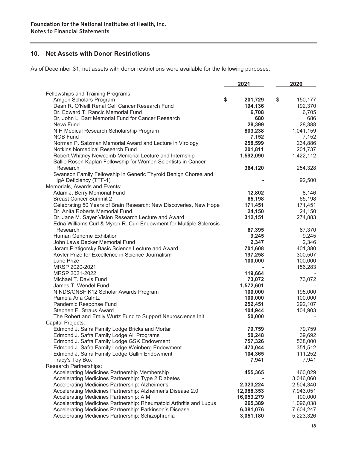#### **10. Net Assets with Donor Restrictions**

As of December 31, net assets with donor restrictions were available for the following purposes:

|                                                                                                                         | 2021          | 2020          |
|-------------------------------------------------------------------------------------------------------------------------|---------------|---------------|
| Fellowships and Training Programs:                                                                                      |               |               |
| Amgen Scholars Program                                                                                                  | \$<br>201,729 | \$<br>150,177 |
| Dean R. O'Neill Renal Cell Cancer Research Fund                                                                         | 194,136       | 192,370       |
| Dr. Edward T. Rancic Memorial Fund                                                                                      | 6,708         | 6,705         |
| Dr. John L. Barr Memorial Fund for Cancer Research                                                                      | 680           | 686           |
| Neva Fund                                                                                                               | 28,399        | 28,388        |
| NIH Medical Research Scholarship Program                                                                                | 803,238       | 1,041,159     |
| NOB Fund                                                                                                                | 7,152         | 7,152         |
| Norman P. Salzman Memorial Award and Lecture in Virology                                                                | 258,599       | 234,886       |
| Notkins biomedical Research Fund                                                                                        | 201,811       | 201,737       |
| Robert Whitney Newcomb Memorial Lecture and Internship<br>Sallie Rosen Kaplan Fellowship for Women Scientists in Cancer | 1,592,090     | 1,422,112     |
| Research                                                                                                                | 364,120       | 254,328       |
| Swanson Family Fellowship in Generic Thyroid Benign Chorea and                                                          |               |               |
| IgA Deficiency (TTF-1)                                                                                                  |               | 92,500        |
| Memorials, Awards and Events:                                                                                           |               |               |
| Adam J. Berry Memorial Fund                                                                                             | 12,802        | 8,146         |
| <b>Breast Cancer Summit 2</b>                                                                                           | 65,198        | 65,198        |
| Celebrating 50 Years of Brain Research: New Discoveries, New Hope                                                       | 171,451       | 171,451       |
| Dr. Anita Roberts Memorial Fund                                                                                         | 24,150        | 24,150        |
| Dr. Jane M. Sayer Vision Research Lecture and Award                                                                     | 312,151       | 274,883       |
| Edna Williams Curl & Myron R. Curl Endowment for Multiple Sclerosis                                                     |               |               |
| Research                                                                                                                | 67,395        | 67,370        |
| Human Genome Exhibition                                                                                                 | 9,245         | 9,245         |
| John Laws Decker Memorial Fund                                                                                          | 2,347         | 2,346         |
| Joram Piatigorsky Basic Science Lecture and Award                                                                       | 701,608       | 401,380       |
| Kovler Prize for Excellence in Science Journalism                                                                       | 197,258       | 300,507       |
| Lurie Prize                                                                                                             | 100,000       | 100,000       |
| MRSP 2020-2021                                                                                                          |               | 156,283       |
| MRSP 2021-2022                                                                                                          | 119,664       |               |
| Michael T. Davis Fund                                                                                                   | 73,072        | 73,072        |
| James T. Wendel Fund                                                                                                    | 1,572,601     |               |
| NINDS/CNSF K12 Scholar Awards Program                                                                                   | 100,000       | 195,000       |
| Pamela Ana Cafritz                                                                                                      | 100,000       | 100,000       |
| Pandemic Response Fund                                                                                                  | 252,451       | 292,107       |
| Stephen E. Straus Award                                                                                                 | 104,944       | 104,903       |
| The Robert and Emily Wurtz Fund to Support Neuroscience Init                                                            | 50,000        |               |
| Capital Projects:                                                                                                       |               |               |
| Edmond J. Safra Family Lodge Bricks and Mortar                                                                          | 79,759        | 79,759        |
| Edmond J. Safra Family Lodge All Programs                                                                               | 50,248        | 39,692        |
| Edmond J. Safra Family Lodge GSK Endowment                                                                              | 757,326       | 538,000       |
| Edmond J. Safra Family Lodge Weinberg Endowment                                                                         | 473,044       | 351,512       |
| Edmond J. Safra Family Lodge Gallin Endowment                                                                           | 104,365       | 111,252       |
| Tracy's Toy Box                                                                                                         | 7,941         | 7,941         |
| Research Partnerships:                                                                                                  |               |               |
| Accelerating Medicines Partnership Membership                                                                           | 455,365       | 460,029       |
| Accelerating Medicines Partnership: Type 2 Diabetes                                                                     |               | 3,046,060     |
| Accelerating Medicines Partnership: Alzheimer's                                                                         | 2,323,224     | 2,504,340     |
| Accelerating Medicines Partnership: Alzheimer's Disease 2.0                                                             | 12,988,353    | 7,943,051     |
| Accelerating Medicines Partnership: AIM                                                                                 | 16,053,279    | 100,000       |
| Accelerating Medicines Partnership: Rheumatoid Arthritis and Lupus                                                      | 265,389       | 1,096,038     |
| Accelerating Medicines Partnership: Parkinson's Disease                                                                 | 6,381,076     | 7,604,247     |
| Accelerating Medicines Partnership: Schizophrenia                                                                       | 3,051,180     | 5,223,326     |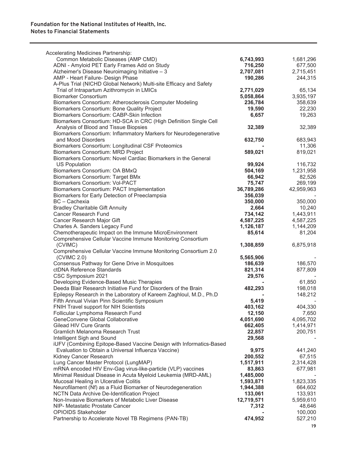| Accelerating Medicines Partnership:                                 |            |            |
|---------------------------------------------------------------------|------------|------------|
| Common Metabolic Diseases (AMP CMD)                                 | 6,743,993  | 1,681,296  |
| ADNI - Amyloid PET Early Frames Add on Study                        | 716,250    | 677,500    |
| Alzheimer's Disease Neuroimaging Initiative - 3                     | 2,707,081  | 2,715,451  |
| AMP - Heart Failure- Design Phase                                   | 190,286    | 244,315    |
| A-Plus Trial (NICHD Global Network) Multi-site Efficacy and Safety  |            |            |
| Trial of Intrapartum Azithromycin in LMICs                          | 2,771,029  | 65,134     |
| <b>Biomarker Consortium</b>                                         | 5,058,864  | 3,935,197  |
| Biomarkers Consortium: Atherosclerosis Computer Modeling            | 236,784    | 358,639    |
| Biomarkers Consortium: Bone Quality Project                         | 19,590     | 22,230     |
| Biomarkers Consortium: CABP-Skin Infection                          | 6,657      | 19,263     |
| Biomarkers Consortium: HD-SCA in CRC (High Definition Single Cell   |            |            |
| Analysis of Blood and Tissue Biopsies                               | 32,389     | 32,389     |
| Biomarkers Consortium: Inflammatory Markers for Neurodegenerative   |            |            |
| and Mood Disorders                                                  | 632,750    | 683,943    |
| Biomarkers Consortium: Longitudinal CSF Proteomics                  |            | 11,306     |
| Biomarkers Consortium: MRD Project                                  | 589,021    | 819,021    |
| Biomarkers Consortium: Novel Cardiac Biomarkers in the General      |            |            |
| <b>US Population</b>                                                | 99,924     | 116,732    |
| Biomarkers Consortium: OA BMxQ                                      | 504,169    | 1,231,958  |
| <b>Biomarkers Consortium: Target BMx</b>                            | 66,942     | 82,526     |
| <b>Biomarkers Consortium: Vol-PACT</b>                              | 75,747     | 269,199    |
| Biomarkers Consortium: PACT Implementation                          | 36,789,286 | 42,959,963 |
| Biomarkers for Early Detection of Preeclampsia                      | 356,039    |            |
| BC - Cachexia                                                       | 350,000    | 350,000    |
| <b>Bradley Charitable Gift Annuity</b>                              | 2,664      | 10,240     |
| <b>Cancer Research Fund</b>                                         | 734,142    | 1,443,911  |
| Cancer Research Major Gift                                          | 4,587,225  | 4,587,225  |
| Charles A. Sanders Legacy Fund                                      | 1,126,187  | 1,144,209  |
| Chemotherapeutic Impact on the Immune MicroEnvironment              | 85,614     | 81,204     |
| Comprehensive Cellular Vaccine Immune Monitoring Consortium         |            |            |
| (CVIMC)                                                             | 1,308,859  | 6,875,918  |
| Comprehensive Cellular Vaccine Immune Monitoring Consortium 2.0     |            |            |
| (CVIMC 2.0)                                                         | 5,565,906  |            |
| Consensus Pathway for Gene Drive in Mosquitoes                      | 186,639    | 186,570    |
| ctDNA Reference Standards                                           | 821,314    | 877,809    |
| CSC Symposium 2021                                                  | 29,576     |            |
| Developing Evidence-Based Music Therapies                           |            | 61,850     |
| Deeda Blair Research Initiative Fund for Disorders of the Brain     | 482,293    | 198,018    |
| Epilepsy Research in the Laboratory of Kareem Zaghloul, M.D., Ph.D  |            | 148,212    |
| Fifth Annual Vivian Pinn Scientific Symposium                       | 5,419      |            |
| FNIH Travel support for NIH Scientists                              | 403,162    | 404,330    |
| Follicular Lymphoma Research Fund                                   | 12,150     | 7,650      |
| GeneConvene Global Collaborative                                    | 4,051,690  | 4,095,702  |
| <b>Gilead HIV Cure Grants</b>                                       | 662,405    | 1,414,971  |
| <b>Gramlich Melanoma Research Trust</b>                             | 22,857     | 200,751    |
| Intelligent Sigh and Sound                                          | 29,568     |            |
| iUFV (Combining Epitope-Based Vaccine Design with Informatics-Based |            |            |
| Evaluation to Obtain a Universal Influenza Vaccine)                 | 9,975      | 441,240    |
| Kidney Cancer Research                                              | 200,552    | 67,515     |
| Lung Cancer Master Protocol (LungMAP)                               | 1,517,911  | 2,314,428  |
| mRNA encoded HIV Env-Gag virus-like-particle (VLP) vaccines         | 83,863     | 677,981    |
| Minimal Residual Disease in Acuta Myeloid Leukemia (MRD-AML)        | 1,485,000  |            |
| Mucosal Healing in Ulcerative Colitis                               | 1,593,871  | 1,823,335  |
| Neurofilament (Nf) as a Fluid Biomarker of Neurodegeneration        | 1,944,388  | 664,602    |
| NCTN Data Archive De-Identification Project                         | 133,061    | 133,931    |
| Non-Invasive Biomarkers of Metabolic Liver Disease                  | 12,719,571 | 5,959,610  |
| NIP- Metastatic Prostate Cancer                                     | 7,312      | 48,646     |
| <b>OPIOIDS Stakeholder</b>                                          |            | 100,000    |
| Partnership to Accelerate Novel TB Regimens (PAN-TB)                | 474,952    | 527,210    |
|                                                                     |            |            |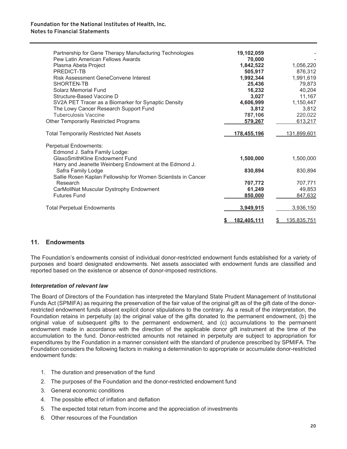#### **Foundation for the National Institutes of Health, Inc. Notes to Financial Statements**

| Partnership for Gene Therapy Manufacturing Technologies<br>Pew Latin American Fellows Awards | 19,102,059<br>70,000 |                   |
|----------------------------------------------------------------------------------------------|----------------------|-------------------|
| Plasma Abeta Project                                                                         | 1,842,522            | 1,056,220         |
| <b>PREDICT-TB</b>                                                                            | 505,917              | 876,312           |
| <b>Risk Assessment GeneConvene Interest</b>                                                  | 1,992,344            | 1,991,619         |
| SHORTEN-TB                                                                                   | 25,436               | 79,873            |
| Solarz Memorial Fund                                                                         | 16,232               | 40,204            |
| Structure-Based Vaccine D                                                                    |                      | 11,167            |
|                                                                                              | 3,027                |                   |
| SV2A PET Tracer as a Biomarker for Synaptic Density                                          | 4,606,999            | 1,150,447         |
| The Lowy Cancer Research Support Fund                                                        | 3,812                | 3,812             |
| <b>Tuberculosis Vaccine</b>                                                                  | 787,106              | 220,022           |
| <b>Other Temporarily Restricted Programs</b>                                                 | 579.267              | 613,217           |
| <b>Total Temporarily Restricted Net Assets</b>                                               | <u>178,455,196</u>   | 131,899,601       |
| Perpetual Endowments:                                                                        |                      |                   |
| Edmond J. Safra Family Lodge:                                                                |                      |                   |
| <b>GlaxoSmithKline Endowment Fund</b>                                                        | 1,500,000            | 1,500,000         |
| Harry and Jeanette Weinberg Endowment at the Edmond J.                                       |                      |                   |
| Safra Family Lodge                                                                           | 830,894              | 830,894           |
| Sallie Rosen Kaplan Fellowship for Women Scientists in Cancer                                |                      |                   |
| Research                                                                                     | 707,772              | 707,771           |
| CarMollNat Muscular Dystrophy Endowment                                                      | 61,249               | 49,853            |
| <b>Futures Fund</b>                                                                          |                      |                   |
|                                                                                              | 850,000              | 847,632           |
| <b>Total Perpetual Endowments</b>                                                            | 3,949,915            | 3,936,150         |
|                                                                                              |                      |                   |
|                                                                                              | 182,405,111          | 135,835,751<br>\$ |

#### **11. Endowments**

The Foundation's endowments consist of individual donor-restricted endowment funds established for a variety of purposes and board designated endowments. Net assets associated with endowment funds are classified and reported based on the existence or absence of donor-imposed restrictions.

#### *Interpretation of relevant law*

The Board of Directors of the Foundation has interpreted the Maryland State Prudent Management of Institutional Funds Act (SPMIFA) as requiring the preservation of the fair value of the original gift as of the gift date of the donorrestricted endowment funds absent explicit donor stipulations to the contrary. As a result of the interpretation, the Foundation retains in perpetuity (a) the original value of the gifts donated to the permanent endowment, (b) the original value of subsequent gifts to the permanent endowment, and (c) accumulations to the permanent endowment made in accordance with the direction of the applicable donor gift instrument at the time of the accumulation to the fund. Donor-restricted amounts not retained in perpetuity are subject to appropriation for expenditures by the Foundation in a manner consistent with the standard of prudence prescribed by SPMIFA. The Foundation considers the following factors in making a determination to appropriate or accumulate donor-restricted endowment funds:

- 1. The duration and preservation of the fund
- 2. The purposes of the Foundation and the donor-restricted endowment fund
- 3. General economic conditions
- 4. The possible effect of inflation and deflation
- 5. The expected total return from income and the appreciation of investments
- 6. Other resources of the Foundation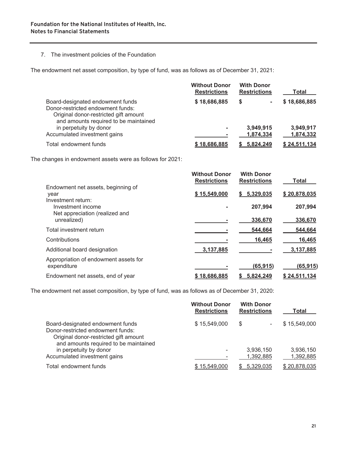#### 7. The investment policies of the Foundation

The endowment net asset composition, by type of fund, was as follows as of December 31, 2021:

|                                                                                                                                                         | <b>Without Donor</b><br><b>Restrictions</b> | <b>With Donor</b><br><b>Restrictions</b> | Total        |
|---------------------------------------------------------------------------------------------------------------------------------------------------------|---------------------------------------------|------------------------------------------|--------------|
| Board-designated endowment funds<br>Donor-restricted endowment funds:<br>Original donor-restricted gift amount<br>and amounts required to be maintained | \$18,686,885                                | S                                        | \$18,686,885 |
| in perpetuity by donor                                                                                                                                  | ٠                                           | 3,949,915                                | 3,949,917    |
| Accumulated investment gains                                                                                                                            |                                             | 1,874,334                                | 1,874,332    |
| Total endowment funds                                                                                                                                   | \$18.686.885                                | 5.824.249                                | \$24.511.134 |

The changes in endowment assets were as follows for 2021:

|                                                                  | <b>Without Donor</b><br><b>Restrictions</b> | <b>With Donor</b><br><b>Restrictions</b> | <b>Total</b> |
|------------------------------------------------------------------|---------------------------------------------|------------------------------------------|--------------|
| Endowment net assets, beginning of<br>year<br>Investment return: | \$15,549,000                                | \$5,329,035                              | \$20,878,035 |
| Investment income<br>Net appreciation (realized and              |                                             | 207,994                                  | 207,994      |
| unrealized)                                                      |                                             | 336,670                                  | 336,670      |
| Total investment return                                          |                                             | 544,664                                  | 544,664      |
| Contributions                                                    |                                             | 16,465                                   | 16,465       |
| Additional board designation                                     | 3,137,885                                   |                                          | 3,137,885    |
| Appropriation of endowment assets for<br>expenditure             |                                             | (65, 915)                                | (65, 915)    |
| Endowment net assets, end of year                                | \$18.686.885                                | 5.824.249                                | \$24.511.134 |

The endowment net asset composition, by type of fund, was as follows as of December 31, 2020:

|                                                                                                                                                         | <b>Without Donor</b><br><b>Restrictions</b> | <b>With Donor</b><br><b>Restrictions</b> | Total                  |
|---------------------------------------------------------------------------------------------------------------------------------------------------------|---------------------------------------------|------------------------------------------|------------------------|
| Board-designated endowment funds<br>Donor-restricted endowment funds:<br>Original donor-restricted gift amount<br>and amounts required to be maintained | \$15,549,000                                | S<br>$\overline{\phantom{a}}$            | \$15,549,000           |
| in perpetuity by donor<br>Accumulated investment gains                                                                                                  |                                             | 3,936,150<br>1,392,885                   | 3,936,150<br>1,392,885 |
| Total endowment funds                                                                                                                                   | \$15,549,000                                | \$5,329,035                              | \$20,878,035           |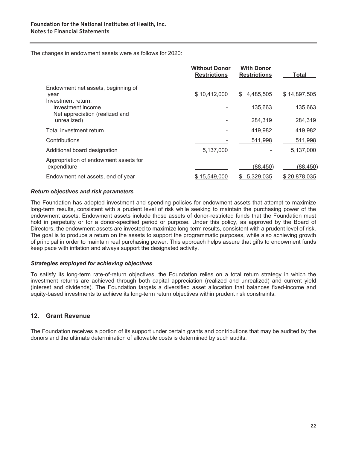The changes in endowment assets were as follows for 2020:

|                                                                           | <b>Without Donor</b><br><b>Restrictions</b> | <b>With Donor</b><br><b>Restrictions</b> | <b>Total</b> |
|---------------------------------------------------------------------------|---------------------------------------------|------------------------------------------|--------------|
| Endowment net assets, beginning of<br>year                                | \$10,412,000                                | \$<br>4,485,505                          | \$14,897,505 |
| Investment return:<br>Investment income<br>Net appreciation (realized and |                                             | 135,663                                  | 135,663      |
| unrealized)                                                               |                                             | 284,319                                  | 284,319      |
| Total investment return                                                   |                                             | 419,982                                  | 419,982      |
| Contributions                                                             |                                             | 511,998                                  | 511,998      |
| Additional board designation                                              | 5,137,000                                   |                                          | 5,137,000    |
| Appropriation of endowment assets for<br>expenditure                      |                                             | (88, 450)                                | (88,450)     |
| Endowment net assets, end of year                                         | \$15,549,000                                | 5,329,035<br>S.                          | \$20,878,035 |
|                                                                           |                                             |                                          |              |

#### *Return objectives and risk parameters*

The Foundation has adopted investment and spending policies for endowment assets that attempt to maximize long-term results, consistent with a prudent level of risk while seeking to maintain the purchasing power of the endowment assets. Endowment assets include those assets of donor-restricted funds that the Foundation must hold in perpetuity or for a donor-specified period or purpose. Under this policy, as approved by the Board of Directors, the endowment assets are invested to maximize long-term results, consistent with a prudent level of risk. The goal is to produce a return on the assets to support the programmatic purposes, while also achieving growth of principal in order to maintain real purchasing power. This approach helps assure that gifts to endowment funds keep pace with inflation and always support the designated activity.

#### *Strategies employed for achieving objectives*

To satisfy its long-term rate-of-return objectives, the Foundation relies on a total return strategy in which the investment returns are achieved through both capital appreciation (realized and unrealized) and current yield (interest and dividends). The Foundation targets a diversified asset allocation that balances fixed-income and equity-based investments to achieve its long-term return objectives within prudent risk constraints.

#### **12. Grant Revenue**

The Foundation receives a portion of its support under certain grants and contributions that may be audited by the donors and the ultimate determination of allowable costs is determined by such audits.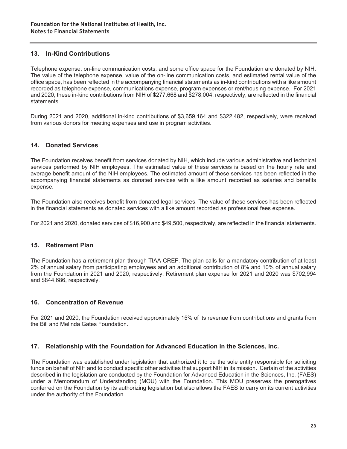#### **13. In-Kind Contributions**

Telephone expense, on-line communication costs, and some office space for the Foundation are donated by NIH. The value of the telephone expense, value of the on-line communication costs, and estimated rental value of the office space, has been reflected in the accompanying financial statements as in-kind contributions with a like amount recorded as telephone expense, communications expense, program expenses or rent/housing expense. For 2021 and 2020, these in-kind contributions from NIH of \$277,668 and \$278,004, respectively, are reflected in the financial statements.

During 2021 and 2020, additional in-kind contributions of \$3,659,164 and \$322,482, respectively, were received from various donors for meeting expenses and use in program activities.

#### **14. Donated Services**

The Foundation receives benefit from services donated by NIH, which include various administrative and technical services performed by NIH employees. The estimated value of these services is based on the hourly rate and average benefit amount of the NIH employees. The estimated amount of these services has been reflected in the accompanying financial statements as donated services with a like amount recorded as salaries and benefits expense.

The Foundation also receives benefit from donated legal services. The value of these services has been reflected in the financial statements as donated services with a like amount recorded as professional fees expense.

For 2021 and 2020, donated services of \$16,900 and \$49,500, respectively, are reflected in the financial statements.

#### **15. Retirement Plan**

The Foundation has a retirement plan through TIAA-CREF. The plan calls for a mandatory contribution of at least 2% of annual salary from participating employees and an additional contribution of 8% and 10% of annual salary from the Foundation in 2021 and 2020, respectively. Retirement plan expense for 2021 and 2020 was \$702,994 and \$844,686, respectively.

#### **16. Concentration of Revenue**

For 2021 and 2020, the Foundation received approximately 15% of its revenue from contributions and grants from the Bill and Melinda Gates Foundation.

#### **17. Relationship with the Foundation for Advanced Education in the Sciences, Inc.**

The Foundation was established under legislation that authorized it to be the sole entity responsible for soliciting funds on behalf of NIH and to conduct specific other activities that support NIH in its mission. Certain of the activities described in the legislation are conducted by the Foundation for Advanced Education in the Sciences, Inc. (FAES) under a Memorandum of Understanding (MOU) with the Foundation. This MOU preserves the prerogatives conferred on the Foundation by its authorizing legislation but also allows the FAES to carry on its current activities under the authority of the Foundation.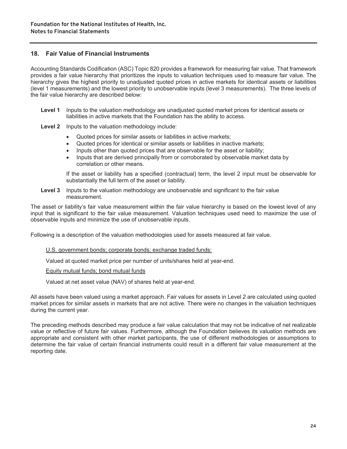#### **18. Fair Value of Financial Instruments**

Accounting Standards Codification (ASC) Topic 820 provides a framework for measuring fair value. That framework provides a fair value hierarchy that prioritizes the inputs to valuation techniques used to measure fair value. The hierarchy gives the highest priority to unadjusted quoted prices in active markets for identical assets or liabilities (level 1 measurements) and the lowest priority to unobservable inputs (level 3 measurements). The three levels of the fair value hierarchy are described below:

- **Level 1** Inputs to the valuation methodology are unadjusted quoted market prices for identical assets or liabilities in active markets that the Foundation has the ability to access.
- **Level 2** Inputs to the valuation methodology include:
	- Quoted prices for similar assets or liabilities in active markets;
	- Quoted prices for identical or similar assets or liabilities in inactive markets;
	- Inputs other than quoted prices that are observable for the asset or liability;
	- Inputs that are derived principally from or corroborated by observable market data by correlation or other means.

 If the asset or liability has a specified (contractual) term, the level 2 input must be observable for substantially the full term of the asset or liability.

**Level 3** Inputs to the valuation methodology are unobservable and significant to the fair value measurement.

The asset or liability's fair value measurement within the fair value hierarchy is based on the lowest level of any input that is significant to the fair value measurement. Valuation techniques used need to maximize the use of observable inputs and minimize the use of unobservable inputs.

Following is a description of the valuation methodologies used for assets measured at fair value.

U.S. government bonds; corporate bonds; exchange traded funds:

Valued at quoted market price per number of units/shares held at year-end.

Equity mutual funds; bond mutual funds

Valued at net asset value (NAV) of shares held at year-end.

All assets have been valued using a market approach. Fair values for assets in Level 2 are calculated using quoted market prices for similar assets in markets that are not active. There were no changes in the valuation techniques during the current year.

The preceding methods described may produce a fair value calculation that may not be indicative of net realizable value or reflective of future fair values. Furthermore, although the Foundation believes its valuation methods are appropriate and consistent with other market participants, the use of different methodologies or assumptions to determine the fair value of certain financial instruments could result in a different fair value measurement at the reporting date.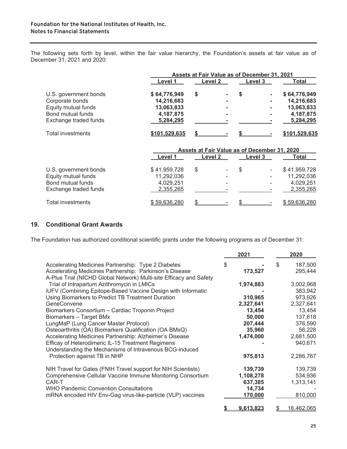The following sets forth by level, within the fair value hierarchy, the Foundation's assets at fair value as of December 31, 2021 and 2020:

|                          |               |         |         | Assets at Fair Value as of December 31, 2021 |               |  |  |
|--------------------------|---------------|---------|---------|----------------------------------------------|---------------|--|--|
|                          | Level 1       | Level 2 | Level 3 |                                              | Total         |  |  |
| U.S. government bonds    | \$64,776,949  |         | S       | $\blacksquare$                               | \$64,776,949  |  |  |
| Corporate bonds          | 14,216,683    | ۰       |         | $\blacksquare$                               | 14,216,683    |  |  |
| Equity mutual funds      | 13,063,833    | -       |         | ۰                                            | 13,063,833    |  |  |
| Bond mutual funds        | 4,187,875     | ۰       |         | $\blacksquare$                               | 4,187,875     |  |  |
| Exchange traded funds    | 5,284,295     |         |         |                                              | 5,284,295     |  |  |
| <b>Total investments</b> | \$101.529.635 |         |         |                                              | \$101.529.635 |  |  |

|                       |              |         |  |         |                          | Assets at Fair Value as of December 31, 2020 |  |  |  |
|-----------------------|--------------|---------|--|---------|--------------------------|----------------------------------------------|--|--|--|
|                       | Level 1      | Level 2 |  | Level 3 |                          | Total                                        |  |  |  |
| U.S. government bonds | \$41,959,728 |         |  | S       | $\overline{\phantom{a}}$ | \$41,959,728                                 |  |  |  |
| Equity mutual funds   | 11,292,036   |         |  |         | ٠                        | 11,292,036                                   |  |  |  |
| Bond mutual funds     | 4,029,251    |         |  |         |                          | 4,029,251                                    |  |  |  |
| Exchange traded funds | 2,355,265    |         |  |         |                          | 2,355,265                                    |  |  |  |
| Total investments     | \$59,636,280 |         |  |         |                          | \$59,636,280                                 |  |  |  |

#### **19. Conditional Grant Awards**

The Foundation has authorized conditional scientific grants under the following programs as of December 31:

|                                                                    | 2021      | 2020             |
|--------------------------------------------------------------------|-----------|------------------|
| Accelerating Medicines Partnership: Type 2 Diabetes                | S         | 187,500<br>\$    |
| Accelerating Medicines Partnership: Parkinson's Disease            | 173,527   | 295,444          |
| A-Plus Trial (NICHD Global Network) Multi-site Efficacy and Safety |           |                  |
| Trial of Intrapartum Azithromycin in LMICs                         | 1,974,883 | 3,002,968        |
| iUFV (Combining Epitope-Based Vaccine Design with Informatic       |           | 383,942          |
| Using Biomarkers to Predict TB Treatment Duration                  | 310,965   | 973,926          |
| GeneConvene                                                        | 2,327,641 | 2,327,641        |
| Biomarkers Consortium - Cardiac Troponin Project                   | 13,454    | 13,454           |
| Biomarkers - Target BMx                                            | 50,000    | 137,618          |
| LungMaP (Lung Cancer Master Protocol)                              | 207,444   | 376,590          |
| Osteoarthritis (OA) Biomarkers Qualification (OA BMxQ)             | 35,960    | 56,228           |
| Accelerating Medicines Partnership: Alzheimer's Disease            | 1,474,000 | 2,681,500        |
| Efficay of Heterodimeric IL-15 Treatment Regimens                  |           | 940,671          |
| Understanding the Mechanisms of Intravenous BCG-induced            |           |                  |
| Protection against TB in NHP                                       | 975,813   | 2,286,767        |
| NIH Travel for Gates (FNIH Travel support for NIH Scientists)      | 139,739   | 139,739          |
| Comprehensive Cellular Vaccine Immune Monitoring Consortium        | 1,108,278 | 534,936          |
| CAR-T                                                              | 637,385   | 1,313,141        |
| <b>WHO Pandemic Convention Consultations</b>                       | 14,734    |                  |
| mRNA encoded HIV Env-Gag virus-like-particle (VLP) vaccines        | 170,000   | 810,000          |
|                                                                    | 9,613,823 | 16,462,065<br>\$ |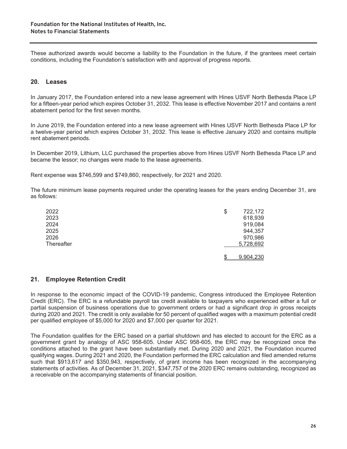These authorized awards would become a liability to the Foundation in the future, if the grantees meet certain conditions, including the Foundation's satisfaction with and approval of progress reports.

#### **20. Leases**

In January 2017, the Foundation entered into a new lease agreement with Hines USVF North Bethesda Place LP for a fifteen-year period which expires October 31, 2032. This lease is effective November 2017 and contains a rent abatement period for the first seven months.

In June 2019, the Foundation entered into a new lease agreement with Hines USVF North Bethesda Place LP for a twelve-year period which expires October 31, 2032. This lease is effective January 2020 and contains multiple rent abatement periods.

In December 2019, Lithium, LLC purchased the properties above from Hines USVF North Bethesda Place LP and became the lessor; no changes were made to the lease agreements.

Rent expense was \$746,599 and \$749,860, respectively, for 2021 and 2020.

The future minimum lease payments required under the operating leases for the years ending December 31, are as follows:

| 2022       | \$ | 722,172   |
|------------|----|-----------|
| 2023       |    | 618,939   |
| 2024       |    | 919,084   |
| 2025       |    | 944,357   |
| 2026       |    | 970,986   |
| Thereafter |    | 5,728,692 |
|            |    |           |
|            | S  | 9,904,230 |

#### **21. Employee Retention Credit**

In response to the economic impact of the COVID-19 pandemic, Congress introduced the Employee Retention Credit (ERC). The ERC is a refundable payroll tax credit available to taxpayers who experienced either a full or partial suspension of business operations due to government orders or had a significant drop in gross receipts during 2020 and 2021. The credit is only available for 50 percent of qualified wages with a maximum potential credit per qualified employee of \$5,000 for 2020 and \$7,000 per quarter for 2021.

The Foundation qualifies for the ERC based on a partial shutdown and has elected to account for the ERC as a government grant by analogy of ASC 958-605. Under ASC 958-605, the ERC may be recognized once the conditions attached to the grant have been substantially met. During 2020 and 2021, the Foundation incurred qualifying wages. During 2021 and 2020, the Foundation performed the ERC calculation and filed amended returns such that \$913,617 and \$350,943, respectively, of grant income has been recognized in the accompanying statements of activities. As of December 31, 2021, \$347,757 of the 2020 ERC remains outstanding, recognized as a receivable on the accompanying statements of financial position.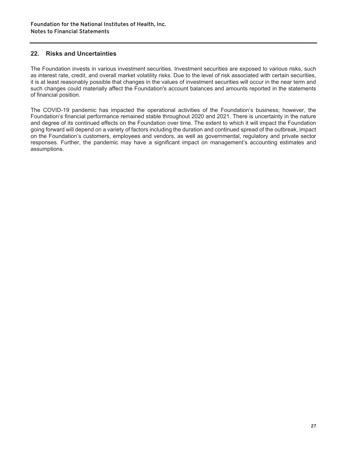#### **22. Risks and Uncertainties**

The Foundation invests in various investment securities. Investment securities are exposed to various risks, such as interest rate, credit, and overall market volatility risks. Due to the level of risk associated with certain securities, it is at least reasonably possible that changes in the values of investment securities will occur in the near term and such changes could materially affect the Foundation's account balances and amounts reported in the statements of financial position.

The COVID-19 pandemic has impacted the operational activities of the Foundation's business; however, the Foundation's financial performance remained stable throughout 2020 and 2021. There is uncertainty in the nature and degree of its continued effects on the Foundation over time. The extent to which it will impact the Foundation going forward will depend on a variety of factors including the duration and continued spread of the outbreak, impact on the Foundation's customers, employees and vendors, as well as governmental, regulatory and private sector responses. Further, the pandemic may have a significant impact on management's accounting estimates and assumptions.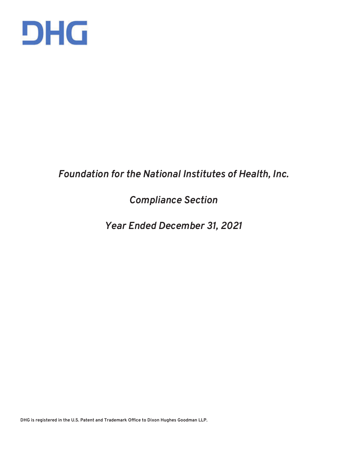

### *Foundation for the National Institutes of Health, Inc.*

## *Compliance Section*

### *Year Ended December 31, 2021*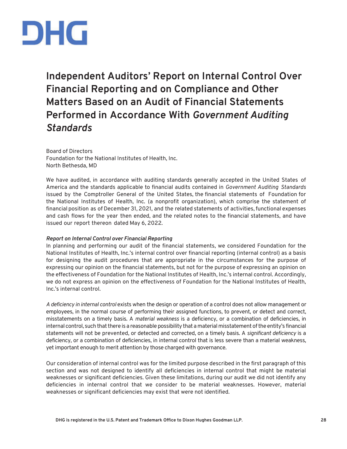

**Independent Auditors' Report on Internal Control Over Financial Reporting and on Compliance and Other Matters Based on an Audit of Financial Statements Performed in Accordance With** *Government Auditing Standards* 

Board of Directors Foundation for the National Institutes of Health, Inc. North Bethesda, MD

We have audited, in accordance with auditing standards generally accepted in the United States of America and the standards applicable to financial audits contained in *Government Auditing Standards*  issued by the Comptroller General of the United States, the financial statements of Foundation for the National Institutes of Health, Inc. (a nonprofit organization), which comprise the statement of financial position as of December 31, 2021, and the related statements of activities, functional expenses and cash flows for the year then ended, and the related notes to the financial statements, and have issued our report thereon dated May 6, 2022.

#### *Report on Internal Control over Financial Reporting*

In planning and performing our audit of the financial statements, we considered Foundation for the National Institutes of Health, Inc.'s internal control over financial reporting (internal control) as a basis for designing the audit procedures that are appropriate in the circumstances for the purpose of expressing our opinion on the financial statements, but not for the purpose of expressing an opinion on the effectiveness of Foundation for the National Institutes of Health, Inc.'s internal control. Accordingly, we do not express an opinion on the effectiveness of Foundation for the National Institutes of Health, Inc.'s internal control.

*A deficiency in internal control* exists when the design or operation of a control does not allow management or employees, in the normal course of performing their assigned functions, to prevent, or detect and correct, misstatements on a timely basis. A *material weakness* is a deficiency, or a combination of deficiencies, in internal control, such that there is a reasonable possibility that a material misstatement of the entity's financial statements will not be prevented, or detected and corrected, on a timely basis. A *significant deficiency* is a deficiency, or a combination of deficiencies, in internal control that is less severe than a material weakness, yet important enough to merit attention by those charged with governance.

Our consideration of internal control was for the limited purpose described in the first paragraph of this section and was not designed to identify all deficiencies in internal control that might be material weaknesses or significant deficiencies. Given these limitations, during our audit we did not identify any deficiencies in internal control that we consider to be material weaknesses. However, material weaknesses or significant deficiencies may exist that were not identified.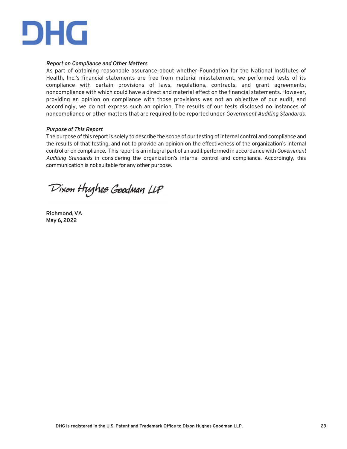

#### *Report on Compliance and Other Matters*

As part of obtaining reasonable assurance about whether Foundation for the National Institutes of Health, Inc.'s financial statements are free from material misstatement, we performed tests of its compliance with certain provisions of laws, regulations, contracts, and grant agreements, noncompliance with which could have a direct and material effect on the financial statements. However, providing an opinion on compliance with those provisions was not an objective of our audit, and accordingly, we do not express such an opinion. The results of our tests disclosed no instances of noncompliance or other matters that are required to be reported under *Government Auditing Standards*.

#### *Purpose of This Report*

The purpose of this report is solely to describe the scope of our testing of internal control and compliance and the results of that testing, and not to provide an opinion on the effectiveness of the organization's internal control or on compliance. This report is an integral part of an audit performed in accordance with *Government Auditing Standards* in considering the organization's internal control and compliance. Accordingly, this communication is not suitable for any other purpose.

Dixon Hughes Goodman LLP

**Richmond, VA May 6, 2022**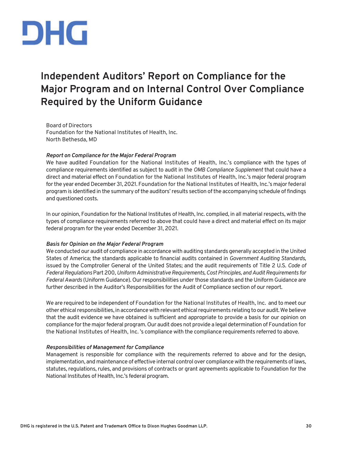

## **Independent Auditors' Report on Compliance for the Major Program and on Internal Control Over Compliance Required by the Uniform Guidance**

Board of Directors Foundation for the National Institutes of Health, Inc. North Bethesda, MD

#### *Report on Compliance for the Major Federal Program*

We have audited Foundation for the National Institutes of Health, Inc.'s compliance with the types of compliance requirements identified as subject to audit in the *OMB Compliance Supplement* that could have a direct and material effect on Foundation for the National Institutes of Health, Inc.'s major federal program for the year ended December 31, 2021. Foundation for the National Institutes of Health, Inc.'s major federal program is identified in the summary of the auditors' results section of the accompanying schedule of findings and questioned costs.

In our opinion, Foundation for the National Institutes of Health, Inc. complied, in all material respects, with the types of compliance requirements referred to above that could have a direct and material effect on its major federal program for the year ended December 31, 2021.

#### *Basis for Opinion on the Major Federal Program*

We conducted our audit of compliance in accordance with auditing standards generally accepted in the United States of America; the standards applicable to financial audits contained in *Government Auditing Standards*, issued by the Comptroller General of the United States; and the audit requirements of Title 2 U.S. *Code of Federal Regulations* Part 200, *Uniform Administrative Requirements, Cost Principles, and Audit Requirements for Federal Awards* (Uniform Guidance). Our responsibilities under those standards and the Uniform Guidance are further described in the Auditor's Responsibilities for the Audit of Compliance section of our report.

We are required to be independent of Foundation for the National Institutes of Health, Inc. and to meet our other ethical responsibilities, in accordance with relevant ethical requirements relating to our audit. We believe that the audit evidence we have obtained is sufficient and appropriate to provide a basis for our opinion on compliance for the major federal program. Our audit does not provide a legal determination of Foundation for the National Institutes of Health, Inc. 's compliance with the compliance requirements referred to above.

#### *Responsibilities of Management for Compliance*

Management is responsible for compliance with the requirements referred to above and for the design, implementation, and maintenance of effective internal control over compliance with the requirements of laws, statutes, regulations, rules, and provisions of contracts or grant agreements applicable to Foundation for the National Institutes of Health, Inc.'s federal program.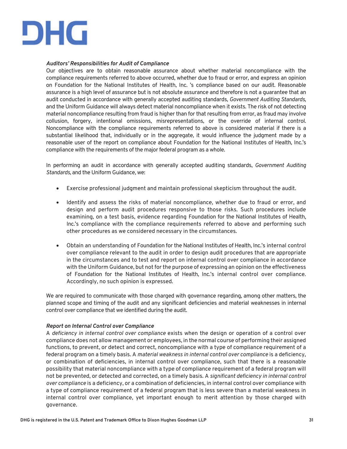

#### *Auditors' Responsibilities for Audit of Compliance*

Our objectives are to obtain reasonable assurance about whether material noncompliance with the compliance requirements referred to above occurred, whether due to fraud or error, and express an opinion on Foundation for the National Institutes of Health, Inc. 's compliance based on our audit. Reasonable assurance is a high level of assurance but is not absolute assurance and therefore is not a guarantee that an audit conducted in accordance with generally accepted auditing standards, *Government Auditing Standards*, and the Uniform Guidance will always detect material noncompliance when it exists. The risk of not detecting material noncompliance resulting from fraud is higher than for that resulting from error, as fraud may involve collusion, forgery, intentional omissions, misrepresentations, or the override of internal control. Noncompliance with the compliance requirements referred to above is considered material if there is a substantial likelihood that, individually or in the aggregate, it would influence the judgment made by a reasonable user of the report on compliance about Foundation for the National Institutes of Health, Inc.'s compliance with the requirements of the major federal program as a whole.

In performing an audit in accordance with generally accepted auditing standards, *Government Auditing Standards*, and the Uniform Guidance, we:

- Exercise professional judgment and maintain professional skepticism throughout the audit.
- Identify and assess the risks of material noncompliance, whether due to fraud or error, and design and perform audit procedures responsive to those risks. Such procedures include examining, on a test basis, evidence regarding Foundation for the National Institutes of Health, Inc.'s compliance with the compliance requirements referred to above and performing such other procedures as we considered necessary in the circumstances.
- Obtain an understanding of Foundation for the National Institutes of Health, Inc.'s internal control over compliance relevant to the audit in order to design audit procedures that are appropriate in the circumstances and to test and report on internal control over compliance in accordance with the Uniform Guidance, but not for the purpose of expressing an opinion on the effectiveness of Foundation for the National Institutes of Health, Inc.'s internal control over compliance. Accordingly, no such opinion is expressed.

We are required to communicate with those charged with governance regarding, among other matters, the planned scope and timing of the audit and any significant deficiencies and material weaknesses in internal control over compliance that we identified during the audit.

#### *Report on Internal Control over Compliance*

A *deficiency in internal control over compliance* exists when the design or operation of a control over compliance does not allow management or employees, in the normal course of performing their assigned functions, to prevent, or detect and correct, noncompliance with a type of compliance requirement of a federal program on a timely basis. A *material weakness in internal control over compliance* is a deficiency, or combination of deficiencies, in internal control over compliance, such that there is a reasonable possibility that material noncompliance with a type of compliance requirement of a federal program will not be prevented, or detected and corrected, on a timely basis. A *significant deficiency in internal control over compliance* is a deficiency, or a combination of deficiencies, in internal control over compliance with a type of compliance requirement of a federal program that is less severe than a material weakness in internal control over compliance, yet important enough to merit attention by those charged with governance.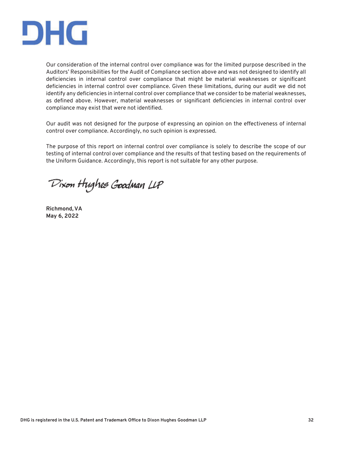

Our consideration of the internal control over compliance was for the limited purpose described in the Auditors' Responsibilities for the Audit of Compliance section above and was not designed to identify all deficiencies in internal control over compliance that might be material weaknesses or significant deficiencies in internal control over compliance. Given these limitations, during our audit we did not identify any deficiencies in internal control over compliance that we consider to be material weaknesses, as defined above. However, material weaknesses or significant deficiencies in internal control over compliance may exist that were not identified.

Our audit was not designed for the purpose of expressing an opinion on the effectiveness of internal control over compliance. Accordingly, no such opinion is expressed.

The purpose of this report on internal control over compliance is solely to describe the scope of our testing of internal control over compliance and the results of that testing based on the requirements of the Uniform Guidance. Accordingly, this report is not suitable for any other purpose.

Dixon Hughes Goodman LLP

**Richmond, VA May 6, 2022**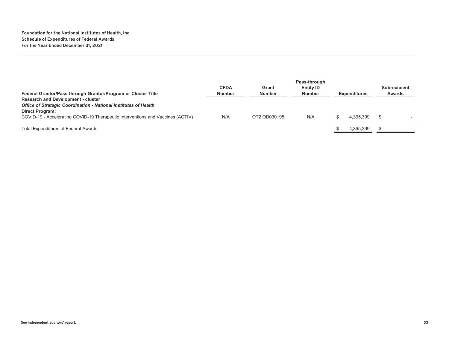|                                                                                 | <b>CFDA</b>   | Grant         | <b>Entity ID</b> |                     | <b>Subrecipient</b> |
|---------------------------------------------------------------------------------|---------------|---------------|------------------|---------------------|---------------------|
| Federal Grantor/Pass-through Grantor/Program or Cluster Title                   | <b>Number</b> | <b>Number</b> | <b>Number</b>    | <b>Expenditures</b> | <b>Awards</b>       |
| <b>Research and Development - cluster</b>                                       |               |               |                  |                     |                     |
| <b>Office of Strategic Coordination - National Institutes of Health</b>         |               |               |                  |                     |                     |
| <b>Direct Program:</b>                                                          |               |               |                  |                     |                     |
| COVID-19 - Accelerating COVID-19 Therapeutic Interventions and Vaccines (ACTIV) | N/A           | OT2 OD030195  | N/A              | 4.395.399           |                     |
|                                                                                 |               |               |                  |                     |                     |
| <b>Total Expenditures of Federal Awards</b>                                     |               |               |                  | 4.395.399           |                     |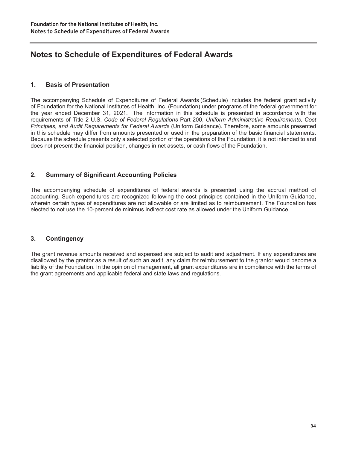### **Notes to Schedule of Expenditures of Federal Awards**

#### **1. Basis of Presentation**

The accompanying Schedule of Expenditures of Federal Awards (Schedule) includes the federal grant activity of Foundation for the National Institutes of Health, Inc. (Foundation) under programs of the federal government for the year ended December 31, 2021. The information in this schedule is presented in accordance with the requirements of Title 2 U.S. *Code of Federal Regulations* Part 200, *Uniform Administrative Requirements, Cost Principles, and Audit Requirements for Federal Awards* (Uniform Guidance)*.* Therefore, some amounts presented in this schedule may differ from amounts presented or used in the preparation of the basic financial statements. Because the schedule presents only a selected portion of the operations of the Foundation, it is not intended to and does not present the financial position, changes in net assets, or cash flows of the Foundation.

#### **2. Summary of Significant Accounting Policies**

The accompanying schedule of expenditures of federal awards is presented using the accrual method of accounting. Such expenditures are recognized following the cost principles contained in the Uniform Guidance, wherein certain types of expenditures are not allowable or are limited as to reimbursement. The Foundation has elected to not use the 10-percent de minimus indirect cost rate as allowed under the Uniform Guidance.

#### **3. Contingency**

The grant revenue amounts received and expensed are subject to audit and adjustment. If any expenditures are disallowed by the grantor as a result of such an audit, any claim for reimbursement to the grantor would become a liability of the Foundation. In the opinion of management, all grant expenditures are in compliance with the terms of the grant agreements and applicable federal and state laws and regulations.